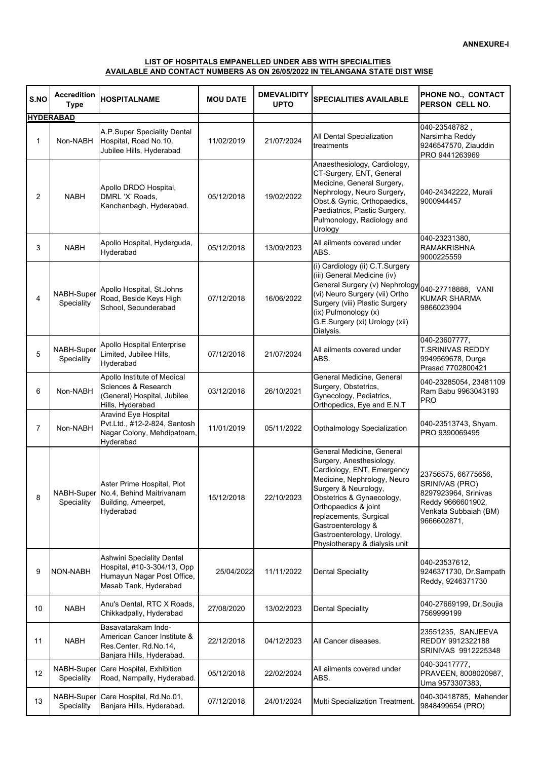## **AVAILABLE AND CONTACT NUMBERS AS ON 26/05/2022 IN TELANGANA STATE DIST WISE LIST OF HOSPITALS EMPANELLED UNDER ABS WITH SPECIALITIES**

| S.NO           | <b>Accredition</b><br><b>Type</b> | <b>HOSPITALNAME</b>                                                                                             | <b>MOU DATE</b> | <b>DMEVALIDITY</b><br><b>UPTO</b> | <b>SPECIALITIES AVAILABLE</b>                                                                                                                                                                                                                                                                                  | PHONE NO., CONTACT<br>PERSON CELL NO.                                                                                      |
|----------------|-----------------------------------|-----------------------------------------------------------------------------------------------------------------|-----------------|-----------------------------------|----------------------------------------------------------------------------------------------------------------------------------------------------------------------------------------------------------------------------------------------------------------------------------------------------------------|----------------------------------------------------------------------------------------------------------------------------|
|                | <b>HYDERABAD</b>                  |                                                                                                                 |                 |                                   |                                                                                                                                                                                                                                                                                                                |                                                                                                                            |
| 1              | Non-NABH                          | A.P.Super Speciality Dental<br>Hospital, Road No.10,<br>Jubilee Hills, Hyderabad                                | 11/02/2019      | 21/07/2024                        | All Dental Specialization<br>treatments                                                                                                                                                                                                                                                                        | 040-23548782,<br>Narsimha Reddy<br>9246547570, Ziauddin<br>PRO 9441263969                                                  |
| $\overline{2}$ | <b>NABH</b>                       | Apollo DRDO Hospital,<br>DMRL 'X' Roads,<br>Kanchanbagh, Hyderabad.                                             | 05/12/2018      | 19/02/2022                        | Anaesthesiology, Cardiology,<br>CT-Surgery, ENT, General<br>Medicine, General Surgery,<br>Nephrology, Neuro Surgery,<br>Obst.& Gynic, Orthopaedics,<br>Paediatrics, Plastic Surgery,<br>Pulmonology, Radiology and<br>Urology                                                                                  | 040-24342222, Murali<br>9000944457                                                                                         |
| 3              | <b>NABH</b>                       | Apollo Hospital, Hyderguda,<br>Hyderabad                                                                        | 05/12/2018      | 13/09/2023                        | All ailments covered under<br>ABS.                                                                                                                                                                                                                                                                             | 040-23231380,<br><b>RAMAKRISHNA</b><br>9000225559                                                                          |
| 4              | NABH-Super<br>Speciality          | Apollo Hospital, St.Johns<br>Road, Beside Keys High<br>School, Secunderabad                                     | 07/12/2018      | 16/06/2022                        | (i) Cardiology (ii) C.T.Surgery<br>(iii) General Medicine (iv)<br>General Surgery (v) Nephrology<br>(vi) Neuro Surgery (vii) Ortho<br>Surgery (viii) Plastic Surgery<br>(ix) Pulmonology (x)<br>G.E.Surgery (xi) Urology (xii)<br>Dialysis.                                                                    | 040-27718888, VANI<br><b>KUMAR SHARMA</b><br>9866023904                                                                    |
| 5              | NABH-Super<br>Speciality          | Apollo Hospital Enterprise<br>Limited, Jubilee Hills,<br>Hyderabad                                              | 07/12/2018      | 21/07/2024                        | All ailments covered under<br>ABS.                                                                                                                                                                                                                                                                             | 040-23607777,<br><b>T.SRINIVAS REDDY</b><br>9949569678, Durga<br>Prasad 7702800421                                         |
| 6              | Non-NABH                          | Apollo Institute of Medical<br>Sciences & Research<br>(General) Hospital, Jubilee<br>Hills, Hyderabad           | 03/12/2018      | 26/10/2021                        | General Medicine, General<br>Surgery, Obstetrics,<br>Gynecology, Pediatrics,<br>Orthopedics, Eye and E.N.T                                                                                                                                                                                                     | 040-23285054, 23481109<br>Ram Babu 9963043193<br><b>PRO</b>                                                                |
| $\overline{7}$ | Non-NABH                          | <b>Aravind Eye Hospital</b><br>Pvt.Ltd., #12-2-824, Santosh<br>Nagar Colony, Mehdipatnam,<br>Hyderabad          | 11/01/2019      | 05/11/2022                        | Opthalmology Specialization                                                                                                                                                                                                                                                                                    | 040-23513743, Shyam.<br>PRO 9390069495                                                                                     |
| 8              | Speciality                        | Aster Prime Hospital, Plot<br>NABH-Super No.4, Behind Maitrivanam<br>Building, Ameerpet,<br>Hyderabad           | 15/12/2018      | 22/10/2023                        | General Medicine, General<br>Surgery, Anesthesiology,<br>Cardiology, ENT, Emergency<br>Medicine, Nephrology, Neuro<br>Surgery & Neurology,<br>Obstetrics & Gynaecology,<br>Orthopaedics & joint<br>replacements, Surgical<br>Gastroenterology &<br>Gastroenterology, Urology,<br>Physiotherapy & dialysis unit | 23756575, 66775656,<br>SRINIVAS (PRO)<br>8297923964, Srinivas<br>Reddy 9666601902,<br>Venkata Subbaiah (BM)<br>9666602871, |
| 9              | NON-NABH                          | Ashwini Speciality Dental<br>Hospital, #10-3-304/13, Opp<br>Humayun Nagar Post Office,<br>Masab Tank, Hyderabad | 25/04/2022      | 11/11/2022                        | <b>Dental Speciality</b>                                                                                                                                                                                                                                                                                       | 040-23537612,<br>9246371730, Dr.Sampath<br>Reddy, 9246371730                                                               |
| 10             | <b>NABH</b>                       | Anu's Dental, RTC X Roads,<br>Chikkadpally, Hyderabad                                                           | 27/08/2020      | 13/02/2023                        | <b>Dental Speciality</b>                                                                                                                                                                                                                                                                                       | 040-27669199, Dr.Soujia<br>7569999199                                                                                      |
| 11             | <b>NABH</b>                       | Basavatarakam Indo-<br>American Cancer Institute &<br>Res.Center, Rd.No.14,<br>Banjara Hills, Hyderabad.        | 22/12/2018      | 04/12/2023                        | All Cancer diseases.                                                                                                                                                                                                                                                                                           | 23551235, SANJEEVA<br>REDDY 9912322188<br>SRINIVAS 9912225348                                                              |
| 12             | NABH-Super<br>Speciality          | Care Hospital, Exhibition<br>Road, Nampally, Hyderabad.                                                         | 05/12/2018      | 22/02/2024                        | All ailments covered under<br>ABS.                                                                                                                                                                                                                                                                             | 040-30417777,<br>PRAVEEN, 8008020987,<br>Uma 9573307383,                                                                   |
| 13             | Speciality                        | NABH-Super Care Hospital, Rd.No.01,<br>Banjara Hills, Hyderabad.                                                | 07/12/2018      | 24/01/2024                        | Multi Specialization Treatment.                                                                                                                                                                                                                                                                                | 040-30418785, Mahender<br>9848499654 (PRO)                                                                                 |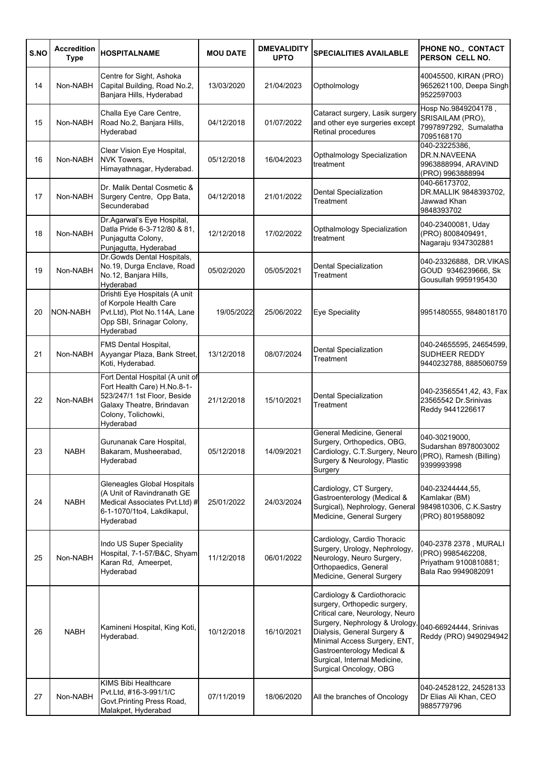| S.NO | <b>Accredition</b><br><b>Type</b> | <b>HOSPITALNAME</b>                                                                                                                                            | <b>MOU DATE</b> | <b>DMEVALIDITY</b><br><b>UPTO</b> | <b>SPECIALITIES AVAILABLE</b>                                                                                                                                                                                                                                                          | PHONE NO., CONTACT<br>PERSON CELL NO.                                                      |
|------|-----------------------------------|----------------------------------------------------------------------------------------------------------------------------------------------------------------|-----------------|-----------------------------------|----------------------------------------------------------------------------------------------------------------------------------------------------------------------------------------------------------------------------------------------------------------------------------------|--------------------------------------------------------------------------------------------|
| 14   | Non-NABH                          | Centre for Sight, Ashoka<br>Capital Building, Road No.2,<br>Banjara Hills, Hyderabad                                                                           | 13/03/2020      | 21/04/2023                        | Optholmology                                                                                                                                                                                                                                                                           | 40045500, KIRAN (PRO)<br>9652621100, Deepa Singh<br>9522597003                             |
| 15   | Non-NABH                          | Challa Eye Care Centre,<br>Road No.2, Banjara Hills,<br>Hyderabad                                                                                              | 04/12/2018      | 01/07/2022                        | Cataract surgery, Lasik surgery<br>and other eye surgeries except<br>Retinal procedures                                                                                                                                                                                                | Hosp No.9849204178,<br>SRISAILAM (PRO),<br>7997897292, Sumalatha<br>7095168170             |
| 16   | Non-NABH                          | Clear Vision Eye Hospital,<br><b>NVK Towers,</b><br>Himayathnagar, Hyderabad.                                                                                  | 05/12/2018      | 16/04/2023                        | Opthalmology Specialization<br>treatment                                                                                                                                                                                                                                               | 040-23225386,<br>DR.N.NAVEENA<br>9963888994, ARAVIND<br>(PRO) 9963888994                   |
| 17   | Non-NABH                          | Dr. Malik Dental Cosmetic &<br>Surgery Centre, Opp Bata,<br>Secunderabad                                                                                       | 04/12/2018      | 21/01/2022                        | Dental Specialization<br>Treatment                                                                                                                                                                                                                                                     | 040-66173702,<br>DR.MALLIK 9848393702,<br>Jawwad Khan<br>9848393702                        |
| 18   | Non-NABH                          | Dr.Agarwal's Eye Hospital,<br>Datla Pride 6-3-712/80 & 81,<br>Punjagutta Colony,<br>Punjagutta, Hyderabad                                                      | 12/12/2018      | 17/02/2022                        | Opthalmology Specialization<br>treatment                                                                                                                                                                                                                                               | 040-23400081, Uday<br>(PRO) 8008409491,<br>Nagaraju 9347302881                             |
| 19   | Non-NABH                          | Dr. Gowds Dental Hospitals,<br>No.19, Durga Enclave, Road<br>No.12, Banjara Hills,<br>Hyderabad                                                                | 05/02/2020      | 05/05/2021                        | Dental Specialization<br>Treatment                                                                                                                                                                                                                                                     | 040-23326888, DR.VIKAS<br>GOUD 9346239666, Sk<br>Gousullah 9959195430                      |
| 20   | <b>NON-NABH</b>                   | Drishti Eye Hospitals (A unit<br>of Korpole Health Care<br>Pvt.Ltd), Plot No.114A, Lane<br>Opp SBI, Srinagar Colony,<br>Hyderabad                              | 19/05/2022      | 25/06/2022                        | Eye Speciality                                                                                                                                                                                                                                                                         | 9951480555, 9848018170                                                                     |
| 21   | Non-NABH                          | FMS Dental Hospital,<br>Ayyangar Plaza, Bank Street,<br>Koti, Hyderabad.                                                                                       | 13/12/2018      | 08/07/2024                        | Dental Specialization<br>Treatment                                                                                                                                                                                                                                                     | 040-24655595, 24654599,<br>SUDHEER REDDY<br>9440232788, 8885060759                         |
| 22   | Non-NABH                          | Fort Dental Hospital (A unit of<br>Fort Health Care) H.No.8-1-<br>523/247/1 1st Floor, Beside<br>Galaxy Theatre, Brindavan<br>Colony, Tolichowki,<br>Hyderabad | 21/12/2018      | 15/10/2021                        | Dental Specialization<br>Treatment                                                                                                                                                                                                                                                     | 040-23565541,42, 43, Fax<br>23565542 Dr.Srinivas<br>Reddy 9441226617                       |
| 23   | <b>NABH</b>                       | Gurunanak Care Hospital,<br>Bakaram, Musheerabad,<br>Hyderabad                                                                                                 | 05/12/2018      | 14/09/2021                        | General Medicine, General<br>Surgery, Orthopedics, OBG,<br>Cardiology, C.T.Surgery, Neuro<br>Surgery & Neurology, Plastic<br>Surgery                                                                                                                                                   | 040-30219000,<br>Sudarshan 8978003002<br>(PRO), Ramesh (Billing)<br>9399993998             |
| 24   | <b>NABH</b>                       | Gleneagles Global Hospitals<br>(A Unit of Ravindranath GE<br>Medical Associates Pvt.Ltd) #<br>6-1-1070/1to4, Lakdikapul,<br>Hyderabad                          | 25/01/2022      | 24/03/2024                        | Cardiology, CT Surgery,<br>Gastroenterology (Medical &<br>Surgical), Nephrology, General<br>Medicine, General Surgery                                                                                                                                                                  | 040-23244444,55,<br>Kamlakar (BM)<br>9849810306, C.K.Sastry<br>(PRO) 8019588092            |
| 25   | Non-NABH                          | Indo US Super Speciality<br>Hospital, 7-1-57/B&C, Shyam<br>Karan Rd, Ameerpet,<br>Hyderabad                                                                    | 11/12/2018      | 06/01/2022                        | Cardiology, Cardio Thoracic<br>Surgery, Urology, Nephrology,<br>Neurology, Neuro Surgery,<br>Orthopaedics, General<br>Medicine, General Surgery                                                                                                                                        | 040-2378 2378, MURALI<br>(PRO) 9985462208,<br>Priyatham 9100810881;<br>Bala Rao 9949082091 |
| 26   | <b>NABH</b>                       | Kamineni Hospital, King Koti,<br>Hyderabad.                                                                                                                    | 10/12/2018      | 16/10/2021                        | Cardiology & Cardiothoracic<br>surgery, Orthopedic surgery,<br>Critical care, Neurology, Neuro<br>Surgery, Nephrology & Urology<br>Dialysis, General Surgery &<br>Minimal Access Surgery, ENT,<br>Gastroenterology Medical &<br>Surgical, Internal Medicine,<br>Surgical Oncology, OBG | 040-66924444, Srinivas<br>Reddy (PRO) 9490294942                                           |
| 27   | Non-NABH                          | <b>KIMS Bibi Healthcare</b><br>Pvt.Ltd, #16-3-991/1/C<br>Govt. Printing Press Road,<br>Malakpet, Hyderabad                                                     | 07/11/2019      | 18/06/2020                        | All the branches of Oncology                                                                                                                                                                                                                                                           | 040-24528122, 24528133<br>Dr Elias Ali Khan, CEO<br>9885779796                             |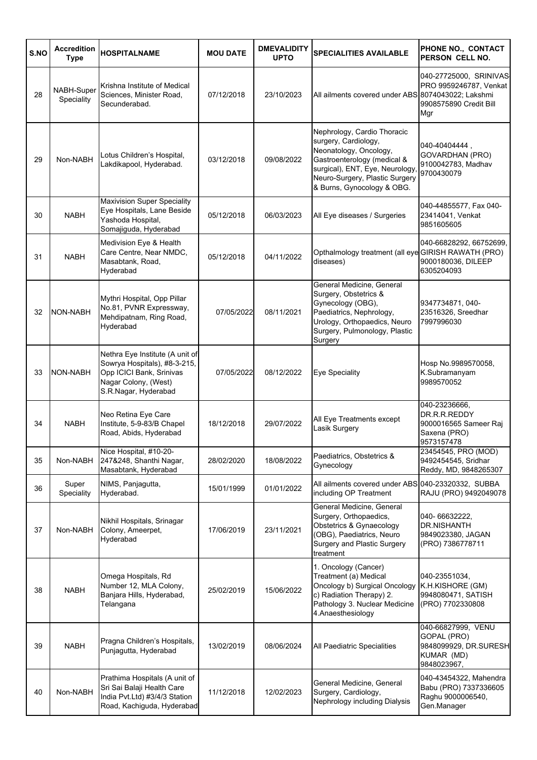| S.NO | <b>Accredition</b><br><b>Type</b> | <b>HOSPITALNAME</b>                                                                                                                         | <b>MOU DATE</b> | <b>DMEVALIDITY</b><br><b>UPTO</b> | <b>SPECIALITIES AVAILABLE</b>                                                                                                                                                                                  | PHONE NO., CONTACT<br>PERSON CELL NO.                                                   |
|------|-----------------------------------|---------------------------------------------------------------------------------------------------------------------------------------------|-----------------|-----------------------------------|----------------------------------------------------------------------------------------------------------------------------------------------------------------------------------------------------------------|-----------------------------------------------------------------------------------------|
| 28   | NABH-Super<br>Speciality          | Krishna Institute of Medical<br>Sciences, Minister Road,<br>Secunderabad.                                                                   | 07/12/2018      | 23/10/2023                        | All ailments covered under ABS 8074043022; Lakshmi                                                                                                                                                             | 040-27725000, SRINIVAS<br>PRO 9959246787, Venkat<br>9908575890 Credit Bill<br>Mgr       |
| 29   | Non-NABH                          | Lotus Children's Hospital,<br>Lakdikapool, Hyderabad.                                                                                       | 03/12/2018      | 09/08/2022                        | Nephrology, Cardio Thoracic<br>surgery, Cardiology,<br>Neonatology, Oncology,<br>Gastroenterology (medical &<br>surgical), ENT, Eye, Neurology<br>Neuro-Surgery, Plastic Surgery<br>& Burns, Gynocology & OBG. | 040-40404444.<br><b>GOVARDHAN (PRO)</b><br>9100042783, Madhav<br>9700430079             |
| 30   | <b>NABH</b>                       | <b>Maxivision Super Speciality</b><br>Eye Hospitals, Lane Beside<br>Yashoda Hospital,<br>Somajiguda, Hyderabad                              | 05/12/2018      | 06/03/2023                        | All Eye diseases / Surgeries                                                                                                                                                                                   | 040-44855577, Fax 040-<br>23414041, Venkat<br>9851605605                                |
| 31   | <b>NABH</b>                       | Medivision Eye & Health<br>Care Centre, Near NMDC,<br>Masabtank, Road,<br>Hyderabad                                                         | 05/12/2018      | 04/11/2022                        | Opthalmology treatment (all eye GIRISH RAWATH (PRO)<br>diseases)                                                                                                                                               | 040-66828292, 66752699,<br>9000180036, DILEEP<br>6305204093                             |
| 32   | <b>NON-NABH</b>                   | Mythri Hospital, Opp Pillar<br>No.81, PVNR Expressway,<br>Mehdipatnam, Ring Road,<br>Hyderabad                                              | 07/05/2022      | 08/11/2021                        | General Medicine, General<br>Surgery, Obstetrics &<br>Gynecology (OBG),<br>Paediatrics, Nephrology,<br>Urology, Orthopaedics, Neuro<br>Surgery, Pulmonology, Plastic<br>Surgery                                | 9347734871, 040-<br>23516326, Sreedhar<br>7997996030                                    |
| 33   | NON-NABH                          | Nethra Eye Institute (A unit of<br>Sowrya Hospitals), #8-3-215,<br>Opp ICICI Bank, Srinivas<br>Nagar Colony, (West)<br>S.R.Nagar, Hyderabad | 07/05/2022      | 08/12/2022                        | <b>Eye Speciality</b>                                                                                                                                                                                          | Hosp No.9989570058,<br>K.Subramanyam<br>9989570052                                      |
| 34   | <b>NABH</b>                       | Neo Retina Eye Care<br>Institute, 5-9-83/B Chapel<br>Road, Abids, Hyderabad                                                                 | 18/12/2018      | 29/07/2022                        | All Eye Treatments except<br>Lasik Surgery                                                                                                                                                                     | 040-23236666,<br>DR.R.R.REDDY<br>9000016565 Sameer Raj<br>Saxena (PRO)<br>9573157478    |
| 35   | Non-NABH                          | Nice Hospital, #10-20-<br>247&248, Shanthi Nagar,<br>Masabtank, Hyderabad                                                                   | 28/02/2020      | 18/08/2022                        | Paediatrics, Obstetrics &<br>Gynecology                                                                                                                                                                        | 23454545, PRO (MOD)<br>9492454545, Sridhar<br>Reddy, MD, 9848265307                     |
| 36   | Super<br>Speciality               | NIMS, Panjagutta,<br>Hyderabad.                                                                                                             | 15/01/1999      | 01/01/2022                        | All ailments covered under ABS 040-23320332, SUBBA<br>including OP Treatment                                                                                                                                   | RAJU (PRO) 9492049078                                                                   |
| 37   | Non-NABH                          | Nikhil Hospitals, Srinagar<br>Colony, Ameerpet,<br>Hyderabad                                                                                | 17/06/2019      | 23/11/2021                        | General Medicine, General<br>Surgery, Orthopaedics,<br>Obstetrics & Gynaecology<br>(OBG), Paediatrics, Neuro<br>Surgery and Plastic Surgery<br>treatment                                                       | 040-66632222,<br><b>DR.NISHANTH</b><br>9849023380, JAGAN<br>(PRO) 7386778711            |
| 38   | <b>NABH</b>                       | Omega Hospitals, Rd<br>Number 12, MLA Colony,<br>Banjara Hills, Hyderabad,<br>Telangana                                                     | 25/02/2019      | 15/06/2022                        | 1. Oncology (Cancer)<br>Treatment (a) Medical<br>Oncology b) Surgical Oncology<br>c) Radiation Therapy) 2.<br>Pathology 3. Nuclear Medicine<br>4.Anaesthesiology                                               | 040-23551034,<br>K.H.KISHORE (GM)<br>9948080471, SATISH<br>(PRO) 7702330808             |
| 39   | <b>NABH</b>                       | Pragna Children's Hospitals,<br>Punjagutta, Hyderabad                                                                                       | 13/02/2019      | 08/06/2024                        | All Paediatric Specialities                                                                                                                                                                                    | 040-66827999, VENU<br>GOPAL (PRO)<br>9848099929, DR.SURESH<br>KUMAR (MD)<br>9848023967, |
| 40   | Non-NABH                          | Prathima Hospitals (A unit of<br>Sri Sai Balaji Health Care<br>India Pvt.Ltd) #3/4/3 Station<br>Road, Kachiguda, Hyderabad                  | 11/12/2018      | 12/02/2023                        | General Medicine, General<br>Surgery, Cardiology,<br>Nephrology including Dialysis                                                                                                                             | 040-43454322, Mahendra<br>Babu (PRO) 7337336605<br>Raghu 9000006540,<br>Gen.Manager     |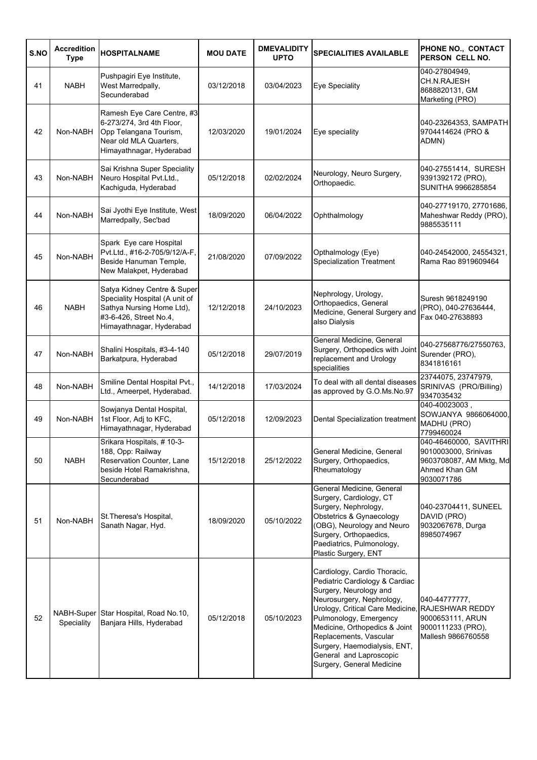| S.NO | <b>Accredition</b><br><b>Type</b> | <b>HOSPITALNAME</b>                                                                                                                              | <b>MOU DATE</b> | <b>DMEVALIDITY</b><br><b>UPTO</b> | <b>SPECIALITIES AVAILABLE</b>                                                                                                                                                                                                                                                                                                          | PHONE NO., CONTACT<br>PERSON CELL NO.                                                                    |
|------|-----------------------------------|--------------------------------------------------------------------------------------------------------------------------------------------------|-----------------|-----------------------------------|----------------------------------------------------------------------------------------------------------------------------------------------------------------------------------------------------------------------------------------------------------------------------------------------------------------------------------------|----------------------------------------------------------------------------------------------------------|
| 41   | <b>NABH</b>                       | Pushpagiri Eye Institute,<br>West Marredpally,<br>Secunderabad                                                                                   | 03/12/2018      | 03/04/2023                        | Eye Speciality                                                                                                                                                                                                                                                                                                                         | 040-27804949.<br><b>CH.N.RAJESH</b><br>8688820131, GM<br>Marketing (PRO)                                 |
| 42   | Non-NABH                          | Ramesh Eye Care Centre, #3<br>6-273/274, 3rd 4th Floor,<br>Opp Telangana Tourism,<br>Near old MLA Quarters,<br>Himayathnagar, Hyderabad          | 12/03/2020      | 19/01/2024                        | Eye speciality                                                                                                                                                                                                                                                                                                                         | 040-23264353, SAMPATH<br>9704414624 (PRO &<br>ADMN)                                                      |
| 43   | Non-NABH                          | Sai Krishna Super Speciality<br>Neuro Hospital Pvt.Ltd.,<br>Kachiguda, Hyderabad                                                                 | 05/12/2018      | 02/02/2024                        | Neurology, Neuro Surgery,<br>Orthopaedic.                                                                                                                                                                                                                                                                                              | 040-27551414, SURESH<br>9391392172 (PRO),<br>SUNITHA 9966285854                                          |
| 44   | Non-NABH                          | Sai Jyothi Eye Institute, West<br>Marredpally, Sec'bad                                                                                           | 18/09/2020      | 06/04/2022                        | Ophthalmology                                                                                                                                                                                                                                                                                                                          | 040-27719170, 27701686,<br>Maheshwar Reddy (PRO),<br>9885535111                                          |
| 45   | Non-NABH                          | Spark Eye care Hospital<br>Pvt.Ltd., #16-2-705/9/12/A-F,<br>Beside Hanuman Temple,<br>New Malakpet, Hyderabad                                    | 21/08/2020      | 07/09/2022                        | Opthalmology (Eye)<br><b>Specialization Treatment</b>                                                                                                                                                                                                                                                                                  | 040-24542000, 24554321,<br>Rama Rao 8919609464                                                           |
| 46   | <b>NABH</b>                       | Satya Kidney Centre & Super<br>Speciality Hospital (A unit of<br>Sathya Nursing Home Ltd),<br>#3-6-426, Street No.4,<br>Himayathnagar, Hyderabad | 12/12/2018      | 24/10/2023                        | Nephrology, Urology,<br>Orthopaedics, General<br>Medicine, General Surgery and<br>also Dialysis                                                                                                                                                                                                                                        | Suresh 9618249190<br>(PRO), 040-27636444,<br>Fax 040-27638893                                            |
| 47   | Non-NABH                          | Shalini Hospitals, #3-4-140<br>Barkatpura, Hyderabad                                                                                             | 05/12/2018      | 29/07/2019                        | General Medicine, General<br>Surgery, Orthopedics with Joint<br>replacement and Urology<br>specialities                                                                                                                                                                                                                                | 040-27568776/27550763,<br>Surender (PRO),<br>8341816161                                                  |
| 48   | Non-NABH                          | Smiline Dental Hospital Pvt.,<br>Ltd., Ameerpet, Hyderabad.                                                                                      | 14/12/2018      | 17/03/2024                        | To deal with all dental diseases<br>as approved by G.O.Ms.No.97                                                                                                                                                                                                                                                                        | 23744075, 23747979,<br>SRINIVAS (PRO/Billing)<br>9347035432                                              |
| 49   | Non-NABH                          | Sowjanya Dental Hospital,<br>1st Floor, Adj to KFC,<br>Himayathnagar, Hyderabad                                                                  | 05/12/2018      | 12/09/2023                        | Dental Specialization treatment                                                                                                                                                                                                                                                                                                        | $040 - 40023003$ ,<br>SOWJANYA 9866064000,<br>MADHU (PRO)<br>7799460024                                  |
| 50   | <b>NABH</b>                       | Srikara Hospitals, #10-3-<br>188, Opp: Railway<br>Reservation Counter, Lane<br>beside Hotel Ramakrishna,<br>Secunderabad                         | 15/12/2018      | 25/12/2022                        | General Medicine, General<br>Surgery, Orthopaedics,<br>Rheumatology                                                                                                                                                                                                                                                                    | 040-46460000, SAVITHRI<br>9010003000, Srinivas<br>9603708087, AM Mktg, Md<br>Ahmed Khan GM<br>9030071786 |
| 51   | Non-NABH                          | St. Theresa's Hospital,<br>Sanath Nagar, Hyd.                                                                                                    | 18/09/2020      | 05/10/2022                        | General Medicine, General<br>Surgery, Cardiology, CT<br>Surgery, Nephrology,<br>Obstetrics & Gynaecology<br>(OBG), Neurology and Neuro<br>Surgery, Orthopaedics,<br>Paediatrics, Pulmonology,<br>Plastic Surgery, ENT                                                                                                                  | 040-23704411, SUNEEL<br>DAVID (PRO)<br>9032067678, Durga<br>8985074967                                   |
| 52   | Speciality                        | NABH-Super Star Hospital, Road No.10,<br>Banjara Hills, Hyderabad                                                                                | 05/12/2018      | 05/10/2023                        | Cardiology, Cardio Thoracic,<br>Pediatric Cardiology & Cardiac<br>Surgery, Neurology and<br>Neurosurgery, Nephrology,<br>Urology, Critical Care Medicine,<br>Pulmonology, Emergency<br>Medicine, Orthopedics & Joint<br>Replacements, Vascular<br>Surgery, Haemodialysis, ENT,<br>General and Laproscopic<br>Surgery, General Medicine | 040-44777777,<br><b>RAJESHWAR REDDY</b><br>9000653111, ARUN<br>9000111233 (PRO),<br>Mallesh 9866760558   |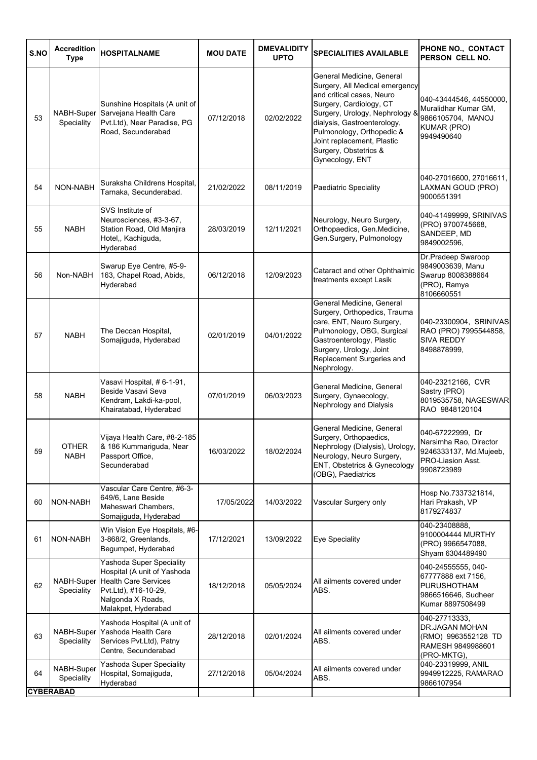| S.NO | <b>Accredition</b><br><b>Type</b> | <b>HOSPITALNAME</b>                                                                                                                                        | <b>MOU DATE</b> | <b>DMEVALIDITY</b><br><b>UPTO</b> | <b>SPECIALITIES AVAILABLE</b>                                                                                                                                                                                                                                                               | PHONE NO., CONTACT<br>PERSON CELL NO.                                                                     |
|------|-----------------------------------|------------------------------------------------------------------------------------------------------------------------------------------------------------|-----------------|-----------------------------------|---------------------------------------------------------------------------------------------------------------------------------------------------------------------------------------------------------------------------------------------------------------------------------------------|-----------------------------------------------------------------------------------------------------------|
| 53   | Speciality                        | Sunshine Hospitals (A unit of<br>NABH-Super Sarvejana Health Care<br>Pvt.Ltd), Near Paradise, PG<br>Road, Secunderabad                                     | 07/12/2018      | 02/02/2022                        | General Medicine, General<br>Surgery, All Medical emergency<br>and critical cases, Neuro<br>Surgery, Cardiology, CT<br>Surgery, Urology, Nephrology &<br>dialysis, Gastroenterology,<br>Pulmonology, Orthopedic &<br>Joint replacement, Plastic<br>Surgery, Obstetrics &<br>Gynecology, ENT | 040-43444546, 44550000,<br>Muralidhar Kumar GM,<br>9866105704, MANOJ<br><b>KUMAR (PRO)</b><br>9949490640  |
| 54   | NON-NABH                          | Suraksha Childrens Hospital,<br>Tarnaka, Secunderabad.                                                                                                     | 21/02/2022      | 08/11/2019                        | Paediatric Speciality                                                                                                                                                                                                                                                                       | 040-27016600, 27016611,<br>LAXMAN GOUD (PRO)<br>9000551391                                                |
| 55   | <b>NABH</b>                       | SVS Institute of<br>Neurosciences, #3-3-67,<br>Station Road, Old Manjira<br>Hotel,, Kachiguda,<br>Hyderabad                                                | 28/03/2019      | 12/11/2021                        | Neurology, Neuro Surgery,<br>Orthopaedics, Gen.Medicine,<br>Gen.Surgery, Pulmonology                                                                                                                                                                                                        | 040-41499999, SRINIVAS<br>(PRO) 9700745668,<br>SANDEEP, MD<br>9849002596,                                 |
| 56   | Non-NABH                          | Swarup Eye Centre, #5-9-<br>163, Chapel Road, Abids,<br>Hyderabad                                                                                          | 06/12/2018      | 12/09/2023                        | Cataract and other Ophthalmic<br>treatments except Lasik                                                                                                                                                                                                                                    | Dr.Pradeep Swaroop<br>9849003639, Manu<br>Swarup 8008388664<br>(PRO), Ramya<br>8106660551                 |
| 57   | <b>NABH</b>                       | The Deccan Hospital,<br>Somajiguda, Hyderabad                                                                                                              | 02/01/2019      | 04/01/2022                        | General Medicine, General<br>Surgery, Orthopedics, Trauma<br>care, ENT, Neuro Surgery,<br>Pulmonology, OBG, Surgical<br>Gastroenterology, Plastic<br>Surgery, Urology, Joint<br>Replacement Surgeries and<br>Nephrology.                                                                    | 040-23300904, SRINIVAS<br>RAO (PRO) 7995544858,<br><b>SIVA REDDY</b><br>8498878999,                       |
| 58   | <b>NABH</b>                       | Vasavi Hospital, # 6-1-91,<br>Beside Vasavi Seva<br>Kendram, Lakdi-ka-pool,<br>Khairatabad, Hyderabad                                                      | 07/01/2019      | 06/03/2023                        | General Medicine, General<br>Surgery, Gynaecology,<br>Nephrology and Dialysis                                                                                                                                                                                                               | 040-23212166, CVR<br>Sastry (PRO)<br>8019535758, NAGESWAR<br>RAO 9848120104                               |
| 59   | OTHER<br><b>NABH</b>              | Vijaya Health Care, #8-2-185<br>& 186 Kummariguda, Near<br>Passport Office,<br>Secunderabad                                                                | 16/03/2022      | 18/02/2024                        | General Medicine, General<br>Surgery, Orthopaedics,<br>Nephrology (Dialysis), Urology,<br>Neurology, Neuro Surgery,<br>ENT, Obstetrics & Gynecology<br>(OBG), Paediatrics                                                                                                                   | 040-67222999, Dr<br>Narsimha Rao, Director<br>9246333137, Md.Mujeeb,<br>PRO-Liasion Asst.<br>9908723989   |
| 60   | NON-NABH                          | Vascular Care Centre, #6-3-<br>649/6, Lane Beside<br>Maheswari Chambers,<br>Somajiguda, Hyderabad                                                          | 17/05/2022      | 14/03/2022                        | Vascular Surgery only                                                                                                                                                                                                                                                                       | Hosp No.7337321814,<br>Hari Prakash, VP<br>8179274837                                                     |
| 61   | NON-NABH                          | Win Vision Eye Hospitals, #6-<br>3-868/2, Greenlands,<br>Begumpet, Hyderabad                                                                               | 17/12/2021      | 13/09/2022                        | Eve Speciality                                                                                                                                                                                                                                                                              | 040-23408888,<br>9100004444 MURTHY<br>(PRO) 9966547088,<br>Shyam 6304489490                               |
| 62   | NABH-Super<br>Speciality          | Yashoda Super Speciality<br>Hospital (A unit of Yashoda<br><b>Health Care Services</b><br>Pvt.Ltd), #16-10-29,<br>Nalgonda X Roads,<br>Malakpet, Hyderabad | 18/12/2018      | 05/05/2024                        | All ailments covered under<br>ABS.                                                                                                                                                                                                                                                          | 040-24555555, 040-<br>67777888 ext 7156,<br><b>PURUSHOTHAM</b><br>9866516646, Sudheer<br>Kumar 8897508499 |
| 63   | NABH-Super<br>Speciality          | Yashoda Hospital (A unit of<br>Yashoda Health Care<br>Services Pvt.Ltd), Patny<br>Centre, Secunderabad                                                     | 28/12/2018      | 02/01/2024                        | All ailments covered under<br>ABS.                                                                                                                                                                                                                                                          | 040-27713333,<br>DR.JAGAN MOHAN<br>(RMO) 9963552128 TD<br>RAMESH 9849988601<br>(PRO-MKTG),                |
| 64   | NABH-Super<br>Speciality          | Yashoda Super Speciality<br>Hospital, Somajiguda,<br>Hyderabad                                                                                             | 27/12/2018      | 05/04/2024                        | All ailments covered under<br>ABS.                                                                                                                                                                                                                                                          | 040-23319999, ANIL<br>9949912225, RAMARAO<br>9866107954                                                   |
|      | <b>CYBERABAD</b>                  |                                                                                                                                                            |                 |                                   |                                                                                                                                                                                                                                                                                             |                                                                                                           |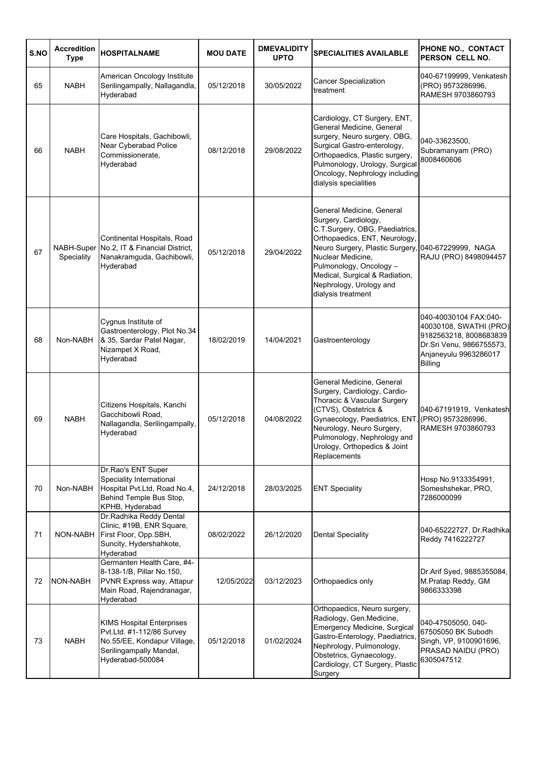| S.NO | <b>Accredition</b><br><b>Type</b> | <b>HOSPITALNAME</b>                                                                                                                         | <b>MOU DATE</b> | <b>DMEVALIDITY</b><br><b>UPTO</b> | <b>SPECIALITIES AVAILABLE</b>                                                                                                                                                                                                                                                                                 | PHONE NO., CONTACT<br>PERSON CELL NO.                                                                                                     |
|------|-----------------------------------|---------------------------------------------------------------------------------------------------------------------------------------------|-----------------|-----------------------------------|---------------------------------------------------------------------------------------------------------------------------------------------------------------------------------------------------------------------------------------------------------------------------------------------------------------|-------------------------------------------------------------------------------------------------------------------------------------------|
| 65   | <b>NABH</b>                       | American Oncology Institute<br>Serilingampally, Nallagandla,<br>Hyderabad                                                                   | 05/12/2018      | 30/05/2022                        | Cancer Specialization<br>treatment                                                                                                                                                                                                                                                                            | 040-67199999, Venkatesh<br>(PRO) 9573286996,<br>RAMESH 9703860793                                                                         |
| 66   | <b>NABH</b>                       | Care Hospitals, Gachibowli,<br>Near Cyberabad Police<br>Commissionerate,<br>Hyderabad                                                       | 08/12/2018      | 29/08/2022                        | Cardiology, CT Surgery, ENT,<br>General Medicine, General<br>surgery, Neuro surgery, OBG,<br>Surgical Gastro-enterology,<br>Orthopaedics, Plastic surgery,<br>Pulmonology, Urology, Surgical<br>Oncology, Nephrology including<br>dialysis specialities                                                       | 040-33623500,<br>Subramanyam (PRO)<br>8008460606                                                                                          |
| 67   | Speciality                        | Continental Hospitals, Road<br>NABH-Super No.2, IT & Financial District,<br>Nanakramguda, Gachibowli,<br>Hyderabad                          | 05/12/2018      | 29/04/2022                        | General Medicine, General<br>Surgery, Cardiology,<br>C.T.Surgery, OBG, Paediatrics,<br>Orthopaedics, ENT, Neurology,<br>Neuro Surgery, Plastic Surgery, 040-67229999, NAGA<br>Nuclear Medicine.<br>Pulmonology, Oncology -<br>Medical, Surgical & Radiation,<br>Nephrology, Urology and<br>dialysis treatment | RAJU (PRO) 8498094457                                                                                                                     |
| 68   | Non-NABH                          | Cygnus Institute of<br>Gastroenterology, Plot No.34<br>& 35, Sardar Patel Nagar,<br>Nizampet X Road,<br>Hyderabad                           | 18/02/2019      | 14/04/2021                        | Gastroenterology                                                                                                                                                                                                                                                                                              | 040-40030104 FAX:040-<br>40030108, SWATHI (PRO)<br>9182563218, 8008683839<br>Dr.Sri Venu, 9866755573,<br>Anjaneyulu 9963286017<br>Billing |
| 69   | <b>NABH</b>                       | Citizens Hospitals, Kanchi<br>Gacchibowli Road,<br>Nallagandla, Serilingampally,<br>Hyderabad                                               | 05/12/2018      | 04/08/2022                        | General Medicine, General<br>Surgery, Cardiology, Cardio-<br>Thoracic & Vascular Surgery<br>(CTVS), Obstetrics &<br>Gynaecology, Paediatrics, ENT<br>Neurology, Neuro Surgery,<br>Pulmonology, Nephrology and<br>Urology, Orthopedics & Joint<br>Replacements                                                 | 040-67191919, Venkatesh<br>(PRO) 9573286996,<br>RAMESH 9703860793                                                                         |
| 70   | Non-NABH                          | Dr.Rao's ENT Super<br>Speciality International<br>Hospital Pvt.Ltd, Road No.4,<br>Behind Temple Bus Stop,<br>KPHB, Hyderabad                | 24/12/2018      | 28/03/2025                        | <b>ENT Speciality</b>                                                                                                                                                                                                                                                                                         | Hosp No.9133354991,<br>Someshshekar, PRO,<br>7286000099                                                                                   |
| 71   | NON-NABH                          | Dr. Radhika Reddy Dental<br>Clinic, #19B, ENR Square,<br>First Floor, Opp.SBH,<br>Suncity, Hydershahkote,<br>Hyderabad                      | 08/02/2022      | 26/12/2020                        | <b>Dental Speciality</b>                                                                                                                                                                                                                                                                                      | 040-65222727, Dr.Radhika<br>Reddy 7416222727                                                                                              |
| 72   | NON-NABH                          | Germanten Health Care, #4-<br>8-138-1/B, Pillar No.150,<br>PVNR Express way, Attapur<br>Main Road, Rajendranagar,<br>Hyderabad              | 12/05/2022      | 03/12/2023                        | Orthopaedics only                                                                                                                                                                                                                                                                                             | Dr. Arif Syed, 9885355084,<br>M.Pratap Reddy, GM<br>9866333398                                                                            |
| 73   | <b>NABH</b>                       | <b>KIMS Hospital Enterprises</b><br>Pvt.Ltd. #1-112/86 Survey<br>No.55/EE, Kondapur Village,<br>Serilingampally Mandal,<br>Hyderabad-500084 | 05/12/2018      | 01/02/2024                        | Orthopaedics, Neuro surgery,<br>Radiology, Gen.Medicine,<br>Emergency Medicine, Surgical<br>Gastro-Enterology, Paediatrics,<br>Nephrology, Pulmonology,<br>Obstetrics, Gynaecology,<br>Cardiology, CT Surgery, Plastic<br>Surgery                                                                             | 040-47505050, 040-<br>67505050 BK Subodh<br>Singh, VP, 9100901696,<br>PRASAD NAIDU (PRO)<br>6305047512                                    |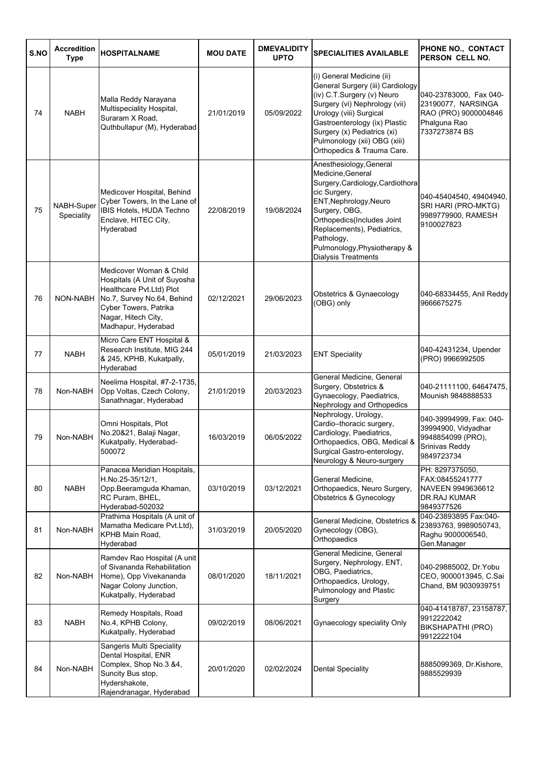| S.NO | <b>Accredition</b><br><b>Type</b> | <b>HOSPITALNAME</b>                                                                                                                                                                      | <b>MOU DATE</b> | <b>DMEVALIDITY</b><br><b>UPTO</b> | <b>SPECIALITIES AVAILABLE</b>                                                                                                                                                                                                                                                         | PHONE NO., CONTACT<br>PERSON CELL NO.                                                                 |
|------|-----------------------------------|------------------------------------------------------------------------------------------------------------------------------------------------------------------------------------------|-----------------|-----------------------------------|---------------------------------------------------------------------------------------------------------------------------------------------------------------------------------------------------------------------------------------------------------------------------------------|-------------------------------------------------------------------------------------------------------|
| 74   | <b>NABH</b>                       | Malla Reddy Narayana<br>Multispeciality Hospital,<br>Suraram X Road,<br>Quthbullapur (M), Hyderabad                                                                                      | 21/01/2019      | 05/09/2022                        | (i) General Medicine (ii)<br>General Surgery (iii) Cardiology<br>(iv) C.T.Surgery (v) Neuro<br>Surgery (vi) Nephrology (vii)<br>Urology (viii) Surgical<br>Gastroenterology (ix) Plastic<br>Surgery (x) Pediatrics (xi)<br>Pulmonology (xii) OBG (xiii)<br>Orthopedics & Trauma Care. | 040-23783000, Fax 040-<br>23190077, NARSINGA<br>RAO (PRO) 9000004846<br>Phalguna Rao<br>7337273874 BS |
| 75   | NABH-Super<br>Speciality          | Medicover Hospital, Behind<br>Cyber Towers, In the Lane of<br>IBIS Hotels, HUDA Techno<br>Enclave, HITEC City,<br>Hyderabad                                                              | 22/08/2019      | 19/08/2024                        | Anesthesiology, General<br>Medicine, General<br>Surgery, Cardiology, Cardiothora<br>cic Surgery,<br>ENT, Nephrology, Neuro<br>Surgery, OBG,<br>Orthopedics(Includes Joint<br>Replacements), Pediatrics,<br>Pathology,<br>Pulmonology, Physiotherapy &<br>Dialysis Treatments          | 040-45404540, 49404940,<br>SRI HARI (PRO-MKTG)<br>9989779900, RAMESH<br>9100027823                    |
| 76   | NON-NABH                          | Medicover Woman & Child<br>Hospitals (A Unit of Suyosha<br>Healthcare Pvt.Ltd) Plot<br>No.7, Survey No.64, Behind<br>Cyber Towers, Patrika<br>Nagar, Hitech City,<br>Madhapur, Hyderabad | 02/12/2021      | 29/06/2023                        | Obstetrics & Gynaecology<br>(OBG) only                                                                                                                                                                                                                                                | 040-68334455, Anil Reddy<br>9666675275                                                                |
| 77   | <b>NABH</b>                       | Micro Care ENT Hospital &<br>Research Institute, MIG 244<br>& 245, KPHB, Kukatpally,<br>Hyderabad                                                                                        | 05/01/2019      | 21/03/2023                        | <b>ENT Speciality</b>                                                                                                                                                                                                                                                                 | 040-42431234, Upender<br>(PRO) 9966992505                                                             |
| 78   | Non-NABH                          | Neelima Hospital, #7-2-1735,<br>Opp Voltas, Czech Colony,<br>Sanathnagar, Hyderabad                                                                                                      | 21/01/2019      | 20/03/2023                        | General Medicine, General<br>Surgery, Obstetrics &<br>Gynaecology, Paediatrics,<br>Nephrology and Orthopedics                                                                                                                                                                         | 040-21111100, 64647475,<br>Mounish 9848888533                                                         |
| 79   | Non-NABH                          | Omni Hospitals, Plot<br>No.20&21, Balaji Nagar,<br>Kukatpally, Hyderabad-<br>500072                                                                                                      | 16/03/2019      | 06/05/2022                        | Nephrology, Urology,<br>Cardio-thoracic surgery,<br>Cardiology, Paediatrics,<br>Orthopaedics, OBG, Medical &<br>Surgical Gastro-enterology,<br>Neurology & Neuro-surgery                                                                                                              | 040-39994999, Fax: 040-<br>39994900, Vidyadhar<br>9948854099 (PRO),<br>Srinivas Reddy<br>9849723734   |
| 80   | <b>NABH</b>                       | Panacea Meridian Hospitals,<br>H.No.25-35/12/1,<br>Opp.Beeramguda Khaman,<br>RC Puram, BHEL,<br>Hyderabad-502032                                                                         | 03/10/2019      | 03/12/2021                        | General Medicine,<br>Orthopaedics, Neuro Surgery,<br><b>Obstetrics &amp; Gynecology</b>                                                                                                                                                                                               | PH: 8297375050,<br>FAX:08455241777<br>NAVEEN 9949636612<br><b>DR.RAJ KUMAR</b><br>9849377526          |
| 81   | Non-NABH                          | Prathima Hospitals (A unit of<br>Mamatha Medicare Pvt.Ltd),<br>KPHB Main Road,<br>Hyderabad                                                                                              | 31/03/2019      | 20/05/2020                        | General Medicine, Obstetrics &<br>Gynecology (OBG),<br>Orthopaedics                                                                                                                                                                                                                   | 040-23893895 Fax:040-<br>23893763, 9989050743,<br>Raghu 9000006540,<br>Gen.Manager                    |
| 82   | Non-NABH                          | Ramdev Rao Hospital (A unit<br>of Sivananda Rehabilitation<br>Home), Opp Vivekananda<br>Nagar Colony Junction,<br>Kukatpally, Hyderabad                                                  | 08/01/2020      | 18/11/2021                        | General Medicine, General<br>Surgery, Nephrology, ENT,<br>OBG, Paediatrics,<br>Orthopaedics, Urology,<br>Pulmonology and Plastic<br>Surgery                                                                                                                                           | 040-29885002, Dr.Yobu<br>CEO, 9000013945, C.Sai<br>Chand, BM 9030939751                               |
| 83   | <b>NABH</b>                       | Remedy Hospitals, Road<br>No.4, KPHB Colony,<br>Kukatpally, Hyderabad                                                                                                                    | 09/02/2019      | 08/06/2021                        | Gynaecology speciality Only                                                                                                                                                                                                                                                           | 040-41418787, 23158787,<br>9912222042<br>BIKSHAPATHI (PRO)<br>9912222104                              |
| 84   | Non-NABH                          | Sangeris Multi Speciality<br>Dental Hospital, ENR<br>Complex, Shop No.3 &4,<br>Suncity Bus stop,<br>Hydershakote,<br>Rajendranagar, Hyderabad                                            | 20/01/2020      | 02/02/2024                        | <b>Dental Speciality</b>                                                                                                                                                                                                                                                              | 8885099369, Dr.Kishore,<br>9885529939                                                                 |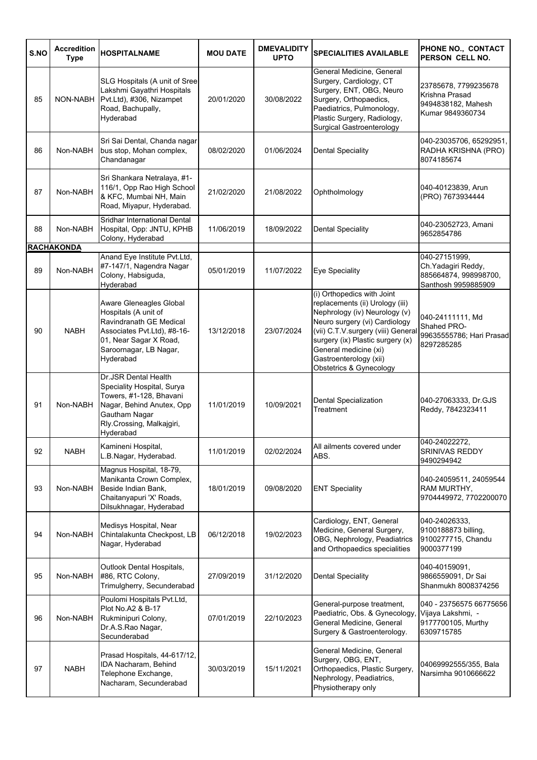| S.NO | <b>Accredition</b><br><b>Type</b> | <b>HOSPITALNAME</b>                                                                                                                                                          | <b>MOU DATE</b> | <b>DMEVALIDITY</b><br><b>UPTO</b> | <b>SPECIALITIES AVAILABLE</b>                                                                                                                                                                                                                                                           | PHONE NO., CONTACT<br>PERSON CELL NO.                                                |
|------|-----------------------------------|------------------------------------------------------------------------------------------------------------------------------------------------------------------------------|-----------------|-----------------------------------|-----------------------------------------------------------------------------------------------------------------------------------------------------------------------------------------------------------------------------------------------------------------------------------------|--------------------------------------------------------------------------------------|
| 85   | NON-NABH                          | SLG Hospitals (A unit of Sree<br>Lakshmi Gayathri Hospitals<br>Pvt.Ltd), #306, Nizampet<br>Road, Bachupally,<br>Hyderabad                                                    | 20/01/2020      | 30/08/2022                        | General Medicine, General<br>Surgery, Cardiology, CT<br>Surgery, ENT, OBG, Neuro<br>Surgery, Orthopaedics,<br>Paediatrics, Pulmonology,<br>Plastic Surgery, Radiology,<br>Surgical Gastroenterology                                                                                     | 23785678, 7799235678<br>Krishna Prasad<br>9494838182, Mahesh<br>Kumar 9849360734     |
| 86   | Non-NABH                          | Sri Sai Dental, Chanda nagar<br>bus stop, Mohan complex,<br>Chandanagar                                                                                                      | 08/02/2020      | 01/06/2024                        | <b>Dental Speciality</b>                                                                                                                                                                                                                                                                | 040-23035706, 65292951,<br>RADHA KRISHNA (PRO)<br>8074185674                         |
| 87   | Non-NABH                          | Sri Shankara Netralaya, #1-<br>116/1, Opp Rao High School<br>& KFC, Mumbai NH, Main<br>Road, Miyapur, Hyderabad.                                                             | 21/02/2020      | 21/08/2022                        | Ophtholmology                                                                                                                                                                                                                                                                           | 040-40123839, Arun<br>(PRO) 7673934444                                               |
| 88   | Non-NABH                          | Sridhar International Dental<br>Hospital, Opp: JNTU, KPHB<br>Colony, Hyderabad                                                                                               | 11/06/2019      | 18/09/2022                        | <b>Dental Speciality</b>                                                                                                                                                                                                                                                                | 040-23052723, Amani<br>9652854786                                                    |
| 89   | <b>RACHAKONDA</b><br>Non-NABH     | Anand Eye Institute Pvt.Ltd,<br>#7-147/1, Nagendra Nagar<br>Colony, Habsiguda,<br>Hyderabad                                                                                  | 05/01/2019      | 11/07/2022                        | <b>Eye Speciality</b>                                                                                                                                                                                                                                                                   | 040-27151999,<br>Ch. Yadagiri Reddy,<br>885664874, 998998700,<br>Santhosh 9959885909 |
| 90   | <b>NABH</b>                       | Aware Gleneagles Global<br>Hospitals (A unit of<br>Ravindranath GE Medical<br>Associates Pvt.Ltd), #8-16-<br>01, Near Sagar X Road,<br>Saroornagar, LB Nagar,<br>Hyderabad   | 13/12/2018      | 23/07/2024                        | (i) Orthopedics with Joint<br>replacements (ii) Urology (iii)<br>Nephrology (iv) Neurology (v)<br>Neuro surgery (vi) Cardiology<br>(vii) C.T.V.surgery (viii) General<br>surgery (ix) Plastic surgery (x)<br>General medicine (xi)<br>Gastroenterology (xii)<br>Obstetrics & Gynecology | 040-24111111, Md<br>Shahed PRO-<br>99635555786; Hari Prasad<br>8297285285            |
| 91   | Non-NABH                          | <b>Dr.JSR Dental Health</b><br>Speciality Hospital, Surya<br>Towers, #1-128, Bhavani<br>Nagar, Behind Anutex, Opp<br>Gautham Nagar<br>Rly.Crossing, Malkajgiri,<br>Hyderabad | 11/01/2019      | 10/09/2021                        | <b>Dental Specialization</b><br>Treatment                                                                                                                                                                                                                                               | 040-27063333, Dr.GJS<br>Reddy, 7842323411                                            |
| 92   | <b>NABH</b>                       | Kamineni Hospital,<br>L.B.Nagar, Hyderabad.                                                                                                                                  | 11/01/2019      | 02/02/2024                        | All ailments covered under<br>ABS.                                                                                                                                                                                                                                                      | 040-24022272.<br>SRINIVAS REDDY<br>9490294942                                        |
| 93   | Non-NABH                          | Magnus Hospital, 18-79,<br>Manikanta Crown Complex,<br>Beside Indian Bank,<br>Chaitanyapuri 'X' Roads,<br>Dilsukhnagar, Hyderabad                                            | 18/01/2019      | 09/08/2020                        | <b>ENT Speciality</b>                                                                                                                                                                                                                                                                   | 040-24059511, 24059544<br>RAM MURTHY,<br>9704449972, 7702200070                      |
| 94   | Non-NABH                          | Medisys Hospital, Near<br>Chintalakunta Checkpost, LB<br>Nagar, Hyderabad                                                                                                    | 06/12/2018      | 19/02/2023                        | Cardiology, ENT, General<br>Medicine, General Surgery,<br>OBG, Nephrology, Peadiatrics<br>and Orthopaedics specialities                                                                                                                                                                 | 040-24026333,<br>9100188873 billing,<br>9100277715, Chandu<br>9000377199             |
| 95   | Non-NABH                          | Outlook Dental Hospitals,<br>#86, RTC Colony,<br>Trimulgherry, Secunderabad                                                                                                  | 27/09/2019      | 31/12/2020                        | <b>Dental Speciality</b>                                                                                                                                                                                                                                                                | 040-40159091,<br>9866559091, Dr Sai<br>Shanmukh 8008374256                           |
| 96   | Non-NABH                          | Poulomi Hospitals Pvt.Ltd,<br>Plot No.A2 & B-17<br>Rukminipuri Colony,<br>Dr.A.S.Rao Nagar,<br>Secunderabad                                                                  | 07/01/2019      | 22/10/2023                        | General-purpose treatment,<br>Paediatric, Obs. & Gynecology,<br>General Medicine, General<br>Surgery & Gastroenterology.                                                                                                                                                                | 040 - 23756575 66775656<br>Vijaya Lakshmi, -<br>9177700105, Murthy<br>6309715785     |
| 97   | <b>NABH</b>                       | Prasad Hospitals, 44-617/12,<br>IDA Nacharam, Behind<br>Telephone Exchange,<br>Nacharam, Secunderabad                                                                        | 30/03/2019      | 15/11/2021                        | General Medicine, General<br>Surgery, OBG, ENT,<br>Orthopaedics, Plastic Surgery,<br>Nephrology, Peadiatrics,<br>Physiotherapy only                                                                                                                                                     | 04069992555/355, Bala<br>Narsimha 9010666622                                         |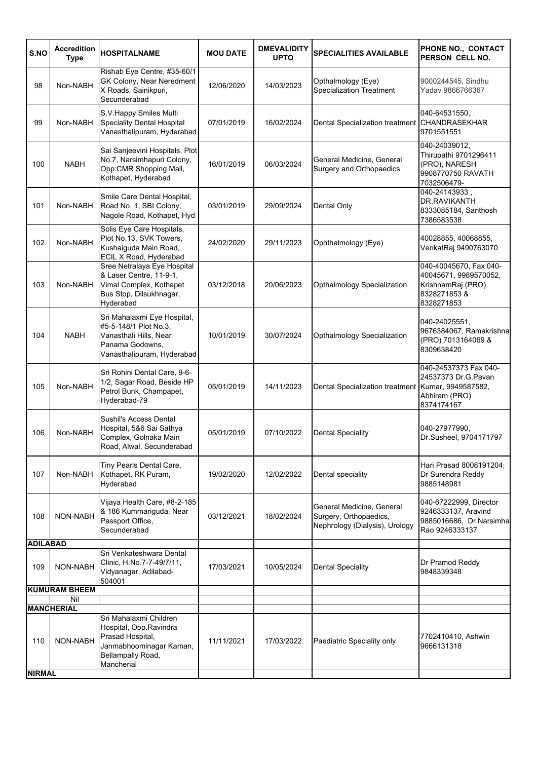| S.NO                 | <b>Accredition</b><br><b>Type</b> | <b>HOSPITALNAME</b>                                                                                                                | <b>MOU DATE</b> | <b>DMEVALIDITY</b><br><b>UPTO</b> | <b>SPECIALITIES AVAILABLE</b>                                                         | PHONE NO., CONTACT<br>PERSON CELL NO.                                                             |
|----------------------|-----------------------------------|------------------------------------------------------------------------------------------------------------------------------------|-----------------|-----------------------------------|---------------------------------------------------------------------------------------|---------------------------------------------------------------------------------------------------|
| 98                   | Non-NABH                          | Rishab Eye Centre, #35-60/1<br>GK Colony, Near Neredment<br>X Roads, Sainikpuri,<br>Secunderabad                                   | 12/06/2020      | 14/03/2023                        | Opthalmology (Eye)<br><b>Specialization Treatment</b>                                 | 9000244545, Sindhu<br>Yadav 9866766367                                                            |
| 99                   | Non-NABH                          | S.V.Happy Smiles Multi<br>Speciality Dental Hospital<br>Vanasthalipuram, Hyderabad                                                 | 07/01/2019      | 16/02/2024                        | Dental Specialization treatment                                                       | 040-64531550,<br><b>CHANDRASEKHAR</b><br>9701551551                                               |
| 100                  | <b>NABH</b>                       | Sai Sanjeevini Hospitals, Plot<br>No.7, Narsimhapuri Colony,<br>Opp:CMR Shopping Mall,<br>Kothapet, Hyderabad                      | 16/01/2019      | 06/03/2024                        | General Medicine, General<br>Surgery and Orthopaedics                                 | 040-24039012,<br>Thirupathi 9701296411<br>(PRO), NARESH<br>9908770750 RAVATH<br>7032506479-       |
| 101                  | Non-NABH                          | Smile Care Dental Hospital,<br>Road No. 1, SBI Colony,<br>Nagole Road, Kothapet, Hyd                                               | 03/01/2019      | 29/09/2024                        | Dental Only                                                                           | 040-24143933,<br>DR.RAVIKANTH<br>8333085184, Santhosh<br>7386583538                               |
| 102                  | Non-NABH                          | Solis Eye Care Hospitals,<br>Plot No.13, SVK Towers,<br>Kushaiguda Main Road,<br>ECIL X Road, Hyderabad                            | 24/02/2020      | 29/11/2023                        | Ophthalmology (Eye)                                                                   | 40028855, 40068855,<br>VenkatRaj 9490763070                                                       |
| 103                  | Non-NABH                          | Sree Netralaya Eye Hospital<br>& Laser Centre, 11-9-1,<br>Vimal Complex, Kothapet<br>Bus Stop, Dilsukhnagar,<br>Hyderabad          | 03/12/2018      | 20/06/2023                        | Opthalmology Specialization                                                           | 040-40045670, Fax 040-<br>40045671, 9989570052,<br>KrishnamRaj (PRO)<br>8328271853&<br>8328271853 |
| 104                  | <b>NABH</b>                       | Sri Mahalaxmi Eye Hospital,<br>#5-5-148/1 Plot No.3,<br>Vanasthali Hills, Near<br>Panama Godowns,<br>Vanasthalipuram, Hyderabad    | 10/01/2019      | 30/07/2024                        | Opthalmology Specialization                                                           | 040-24025551,<br>9676384067, Ramakrishna<br>(PRO) 7013164069 &<br>8309638420                      |
| 105                  | Non-NABH                          | Sri Rohini Dental Care, 9-6-<br>1/2, Sagar Road, Beside HP<br>Petrol Bunk, Champapet,<br>Hyderabad-79                              | 05/01/2019      | 14/11/2023                        | Dental Specialization treatment                                                       | 040-24537373 Fax 040-<br>24537373 Dr.G.Pavan<br>Kumar, 9949587582,<br>Abhiram (PRO)<br>8374174167 |
| 106                  | Non-NABH                          | Sushil's Access Dental<br>Hospital, 5&6 Sai Sathya<br>Complex, Golnaka Main<br>Road, Alwal, Secunderabad                           | 05/01/2019      | 07/10/2022                        | <b>Dental Speciality</b>                                                              | 040-27977990,<br>Dr.Susheel, 9704171797                                                           |
| 107                  | Non-NABH                          | Tiny Pearls Dental Care,<br>Kothapet, RK Puram,<br>Hyderabad                                                                       | 19/02/2020      | 12/02/2022                        | Dental speciality                                                                     | Hari Prasad 8008191204;<br>Dr Surendra Reddy<br>9885148981                                        |
| 108                  | NON-NABH                          | Vijaya Health Care, #8-2-185<br>& 186 Kummariguda, Near<br>Passport Office,<br>Secunderabad                                        | 03/12/2021      | 18/02/2024                        | General Medicine, General<br>Surgery, Orthopaedics,<br>Nephrology (Dialysis), Urology | 040-67222999, Director<br>9246333137, Aravind<br>9885016686, Dr Narsimha<br>Rao 9246333137        |
| <b>ADILABAD</b>      |                                   |                                                                                                                                    |                 |                                   |                                                                                       |                                                                                                   |
| 109                  | NON-NABH                          | Sri Venkateshwara Dental<br>Clinic, H.No.7-7-49/7/11,<br>Vidyanagar, Adilabad-<br>504001                                           | 17/03/2021      | 10/05/2024                        | <b>Dental Speciality</b>                                                              | Dr Pramod Reddy<br>9848339348                                                                     |
|                      | <b>KUMURAM BHEEM</b>              |                                                                                                                                    |                 |                                   |                                                                                       |                                                                                                   |
|                      | Nil<br><b>MANCHERIAL</b>          |                                                                                                                                    |                 |                                   |                                                                                       |                                                                                                   |
| 110<br><b>NIRMAL</b> | NON-NABH                          | Sri Mahalaxmi Children<br>Hospital, Opp.Ravindra<br>Prasad Hospital,<br>Janmabhoominagar Kaman,<br>Bellampally Road,<br>Mancherial | 11/11/2021      | 17/03/2022                        | Paediatric Speciality only                                                            | 7702410410, Ashwin<br>9666131318                                                                  |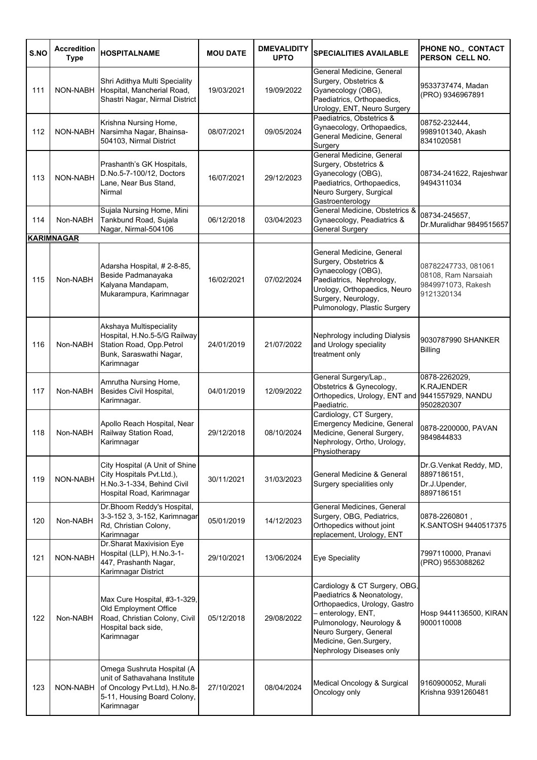| S.NO | <b>Accredition</b><br><b>Type</b> | <b>HOSPITALNAME</b>                                                                                                                       | <b>MOU DATE</b> | <b>DMEVALIDITY</b><br><b>UPTO</b> | <b>SPECIALITIES AVAILABLE</b>                                                                                                                                                                                                  | PHONE NO., CONTACT<br>PERSON CELL NO.                                          |
|------|-----------------------------------|-------------------------------------------------------------------------------------------------------------------------------------------|-----------------|-----------------------------------|--------------------------------------------------------------------------------------------------------------------------------------------------------------------------------------------------------------------------------|--------------------------------------------------------------------------------|
| 111  | NON-NABH                          | Shri Adithya Multi Speciality<br>Hospital, Mancherial Road,<br>Shastri Nagar, Nirmal District                                             | 19/03/2021      | 19/09/2022                        | General Medicine, General<br>Surgery, Obstetrics &<br>Gyanecology (OBG),<br>Paediatrics, Orthopaedics,<br>Urology, ENT, Neuro Surgery                                                                                          | 9533737474, Madan<br>(PRO) 9346967891                                          |
| 112  | NON-NABH                          | Krishna Nursing Home,<br>Narsimha Nagar, Bhainsa-<br>504103, Nirmal District                                                              | 08/07/2021      | 09/05/2024                        | Paediatrics, Obstetrics &<br>Gynaecology, Orthopaedics,<br>General Medicine, General<br>Surgery                                                                                                                                | 08752-232444,<br>9989101340, Akash<br>8341020581                               |
| 113  | NON-NABH                          | Prashanth's GK Hospitals,<br>D.No.5-7-100/12, Doctors<br>Lane, Near Bus Stand,<br>Nirmal                                                  | 16/07/2021      | 29/12/2023                        | General Medicine, General<br>Surgery, Obstetrics &<br>Gyanecology (OBG),<br>Paediatrics, Orthopaedics,<br>Neuro Surgery, Surgical<br>Gastroenterology                                                                          | 08734-241622, Rajeshwar<br>9494311034                                          |
| 114  | Non-NABH                          | Sujala Nursing Home, Mini<br>Tankbund Road, Sujala<br>Nagar, Nirmal-504106                                                                | 06/12/2018      | 03/04/2023                        | General Medicine, Obstetrics &<br>Gynaecology, Peadiatrics &<br><b>General Surgery</b>                                                                                                                                         | 08734-245657.<br>Dr.Muralidhar 9849515657                                      |
|      | <b>KARIMNAGAR</b>                 |                                                                                                                                           |                 |                                   |                                                                                                                                                                                                                                |                                                                                |
| 115  | Non-NABH                          | Adarsha Hospital, #2-8-85,<br>Beside Padmanayaka<br>Kalyana Mandapam,<br>Mukarampura, Karimnagar                                          | 16/02/2021      | 07/02/2024                        | General Medicine, General<br>Surgery, Obstetrics &<br>Gynaecology (OBG),<br>Paediatrics, Nephrology,<br>Urology, Orthopaedics, Neuro<br>Surgery, Neurology,<br>Pulmonology, Plastic Surgery                                    | 08782247733, 081061<br>08108, Ram Narsaiah<br>9849971073, Rakesh<br>9121320134 |
| 116  | Non-NABH                          | Akshaya Multispeciality<br>Hospital, H.No.5-5/G Railway<br>Station Road, Opp.Petrol<br>Bunk, Saraswathi Nagar,<br>Karimnagar              | 24/01/2019      | 21/07/2022                        | Nephrology including Dialysis<br>and Urology speciality<br>treatment only                                                                                                                                                      | 9030787990 SHANKER<br><b>Billing</b>                                           |
| 117  | Non-NABH                          | Amrutha Nursing Home,<br>Besides Civil Hospital,<br>Karimnagar.                                                                           | 04/01/2019      | 12/09/2022                        | General Surgery/Lap.,<br>Obstetrics & Gynecology,<br>Orthopedics, Urology, ENT and 9441557929, NANDU<br>Paediatric.                                                                                                            | 0878-2262029.<br><b>K.RAJENDER</b><br>9502820307                               |
| 118  | Non-NABH                          | Apollo Reach Hospital, Near<br>Railway Station Road,<br>Karimnagar                                                                        | 29/12/2018      | 08/10/2024                        | Cardiology, CT Surgery,<br>Emergency Medicine, General<br>Medicine, General Surgery,<br>Nephrology, Ortho, Urology,<br>Physiotherapy                                                                                           | 0878-2200000, PAVAN<br>9849844833                                              |
| 119  | NON-NABH                          | City Hospital (A Unit of Shine<br>City Hospitals Pvt.Ltd.),<br>H.No.3-1-334, Behind Civil<br>Hospital Road, Karimnagar                    | 30/11/2021      | 31/03/2023                        | General Medicine & General<br>Surgery specialities only                                                                                                                                                                        | Dr.G.Venkat Reddy, MD,<br>8897186151,<br>Dr.J.Upender,<br>8897186151           |
| 120  | Non-NABH                          | Dr. Bhoom Reddy's Hospital,<br>3-3-152 3, 3-152, Karimnagar<br>Rd, Christian Colony,<br>Karimnagar                                        | 05/01/2019      | 14/12/2023                        | General Medicines, General<br>Surgery, OBG, Pediatrics,<br>Orthopedics without joint<br>replacement, Urology, ENT                                                                                                              | 0878-2260801,<br>K.SANTOSH 9440517375                                          |
| 121  | NON-NABH                          | Dr.Sharat Maxivision Eye<br>Hospital (LLP), H.No.3-1-<br>447, Prashanth Nagar,<br>Karimnagar District                                     | 29/10/2021      | 13/06/2024                        | Eye Speciality                                                                                                                                                                                                                 | 7997110000, Pranavi<br>(PRO) 9553088262                                        |
| 122  | Non-NABH                          | Max Cure Hospital, #3-1-329,<br>Old Employment Office<br>Road, Christian Colony, Civil<br>Hospital back side,<br>Karimnagar               | 05/12/2018      | 29/08/2022                        | Cardiology & CT Surgery, OBG,<br>Paediatrics & Neonatology,<br>Orthopaedics, Urology, Gastro<br>- enterology, ENT,<br>Pulmonology, Neurology &<br>Neuro Surgery, General<br>Medicine, Gen.Surgery,<br>Nephrology Diseases only | Hosp 9441136500, KIRAN<br>9000110008                                           |
| 123  | NON-NABH                          | Omega Sushruta Hospital (A<br>unit of Sathavahana Institute<br>of Oncology Pvt.Ltd), H.No.8-<br>5-11, Housing Board Colony,<br>Karimnagar | 27/10/2021      | 08/04/2024                        | Medical Oncology & Surgical<br>Oncology only                                                                                                                                                                                   | 9160900052, Murali<br>Krishna 9391260481                                       |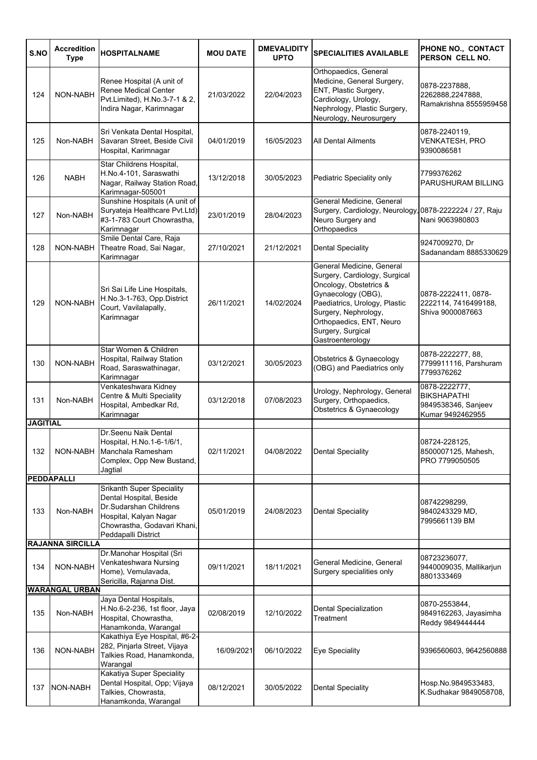| S.NO            | <b>Accredition</b><br><b>Type</b> | <b>HOSPITALNAME</b>                                                                                                                                            | <b>MOU DATE</b> | <b>DMEVALIDITY</b><br><b>UPTO</b> | <b>SPECIALITIES AVAILABLE</b>                                                                                                                                                                                                            | PHONE NO., CONTACT<br>PERSON CELL NO.                                          |
|-----------------|-----------------------------------|----------------------------------------------------------------------------------------------------------------------------------------------------------------|-----------------|-----------------------------------|------------------------------------------------------------------------------------------------------------------------------------------------------------------------------------------------------------------------------------------|--------------------------------------------------------------------------------|
| 124             | NON-NABH                          | Renee Hospital (A unit of<br>Renee Medical Center<br>Pvt.Limited), H.No.3-7-1 & 2,<br>Indira Nagar, Karimnagar                                                 | 21/03/2022      | 22/04/2023                        | Orthopaedics, General<br>Medicine, General Surgery,<br>ENT, Plastic Surgery,<br>Cardiology, Urology,<br>Nephrology, Plastic Surgery,<br>Neurology, Neurosurgery                                                                          | 0878-2237888,<br>2262888,2247888,<br>Ramakrishna 8555959458                    |
| 125             | Non-NABH                          | Sri Venkata Dental Hospital,<br>Savaran Street, Beside Civil<br>Hospital, Karimnagar                                                                           | 04/01/2019      | 16/05/2023                        | <b>All Dental Ailments</b>                                                                                                                                                                                                               | 0878-2240119,<br><b>VENKATESH, PRO</b><br>9390086581                           |
| 126             | <b>NABH</b>                       | Star Childrens Hospital,<br>H.No.4-101, Saraswathi<br>Nagar, Railway Station Road,<br>Karimnagar-505001                                                        | 13/12/2018      | 30/05/2023                        | Pediatric Speciality only                                                                                                                                                                                                                | 7799376262<br>PARUSHURAM BILLING                                               |
| 127             | Non-NABH                          | Sunshine Hospitals (A unit of<br>Suryateja Healthcare Pvt.Ltd)<br>#3-1-783 Court Chowrastha,<br>Karimnagar                                                     | 23/01/2019      | 28/04/2023                        | General Medicine, General<br>Surgery, Cardiology, Neurology<br>Neuro Surgery and<br>Orthopaedics                                                                                                                                         | ,0878-2222224 / 27, Raju<br>Nani 9063980803                                    |
| 128             | NON-NABH                          | Smile Dental Care, Raja<br>Theatre Road, Sai Nagar,<br>Karimnagar                                                                                              | 27/10/2021      | 21/12/2021                        | Dental Speciality                                                                                                                                                                                                                        | 9247009270, Dr<br>Sadanandam 8885330629                                        |
| 129             | NON-NABH                          | Sri Sai Life Line Hospitals,<br>H.No.3-1-763, Opp.District<br>Court, Vavilalapally,<br>Karimnagar                                                              | 26/11/2021      | 14/02/2024                        | General Medicine, General<br>Surgery, Cardiology, Surgical<br>Oncology, Obstetrics &<br>Gynaecology (OBG),<br>Paediatrics, Urology, Plastic<br>Surgery, Nephrology,<br>Orthopaedics, ENT, Neuro<br>Surgery, Surgical<br>Gastroenterology | 0878-2222411, 0878-<br>2222114, 7416499188,<br>Shiva 9000087663                |
| 130             | NON-NABH                          | Star Women & Children<br>Hospital, Railway Station<br>Road, Saraswathinagar,<br>Karimnagar                                                                     | 03/12/2021      | 30/05/2023                        | Obstetrics & Gynaecology<br>(OBG) and Paediatrics only                                                                                                                                                                                   | 0878-2222277, 88,<br>7799911116, Parshuram<br>7799376262                       |
| 131             | Non-NABH                          | Venkateshwara Kidney<br>Centre & Multi Speciality<br>Hospital, Ambedkar Rd,<br>Karimnagar                                                                      | 03/12/2018      | 07/08/2023                        | Urology, Nephrology, General<br>Surgery, Orthopaedics,<br>Obstetrics & Gynaecology                                                                                                                                                       | 0878-2222777,<br><b>BIKSHAPATHI</b><br>9849538346, Sanjeev<br>Kumar 9492462955 |
| <b>JAGITIAL</b> |                                   |                                                                                                                                                                |                 |                                   |                                                                                                                                                                                                                                          |                                                                                |
| 132             |                                   | Dr.Seenu Naik Dental<br>Hospital, H.No.1-6-1/6/1.<br>NON-NABH Manchala Ramesham<br>Complex, Opp New Bustand,<br>Jagtial                                        | 02/11/2021      | 04/08/2022                        | <b>Dental Speciality</b>                                                                                                                                                                                                                 | 08724-228125,<br>8500007125, Mahesh,<br>PRO 7799050505                         |
|                 | <b>PEDDAPALLI</b>                 |                                                                                                                                                                |                 |                                   |                                                                                                                                                                                                                                          |                                                                                |
| 133             | Non-NABH                          | Srikanth Super Speciality<br>Dental Hospital, Beside<br>Dr.Sudarshan Childrens<br>Hospital, Kalyan Nagar<br>Chowrastha, Godavari Khani,<br>Peddapalli District | 05/01/2019      | 24/08/2023                        | <b>Dental Speciality</b>                                                                                                                                                                                                                 | 08742298299,<br>9840243329 MD,<br>7995661139 BM                                |
|                 | <b>RAJANNA SIRCILLA</b>           | Dr.Manohar Hospital (Sri                                                                                                                                       |                 |                                   |                                                                                                                                                                                                                                          |                                                                                |
| 134             | NON-NABH                          | Venkateshwara Nursing<br>Home), Vemulavada,<br>Sericilla, Rajanna Dist.                                                                                        | 09/11/2021      | 18/11/2021                        | General Medicine, General<br>Surgery specialities only                                                                                                                                                                                   | 08723236077,<br>9440009035, Mallikarjun<br>8801333469                          |
|                 | <b>WARANGAL URBAN</b>             |                                                                                                                                                                |                 |                                   |                                                                                                                                                                                                                                          |                                                                                |
| 135             | Non-NABH                          | Jaya Dental Hospitals,<br>H.No.6-2-236, 1st floor, Jaya<br>Hospital, Chowrastha,<br>Hanamkonda, Warangal                                                       | 02/08/2019      | 12/10/2022                        | Dental Specialization<br>Treatment                                                                                                                                                                                                       | 0870-2553844,<br>9849162263, Jayasimha<br>Reddy 9849444444                     |
| 136             | NON-NABH                          | Kakathiya Eye Hospital, #6-2-<br>282, Pinjarla Street, Vijaya<br>Talkies Road, Hanamkonda,<br>Warangal                                                         | 16/09/2021      | 06/10/2022                        | <b>Eye Speciality</b>                                                                                                                                                                                                                    | 9396560603, 9642560888                                                         |
| 137             | NON-NABH                          | Kakatiya Super Speciality<br>Dental Hospital, Opp; Vijaya<br>Talkies, Chowrasta,<br>Hanamkonda, Warangal                                                       | 08/12/2021      | 30/05/2022                        | <b>Dental Speciality</b>                                                                                                                                                                                                                 | Hosp.No.9849533483,<br>K.Sudhakar 9849058708,                                  |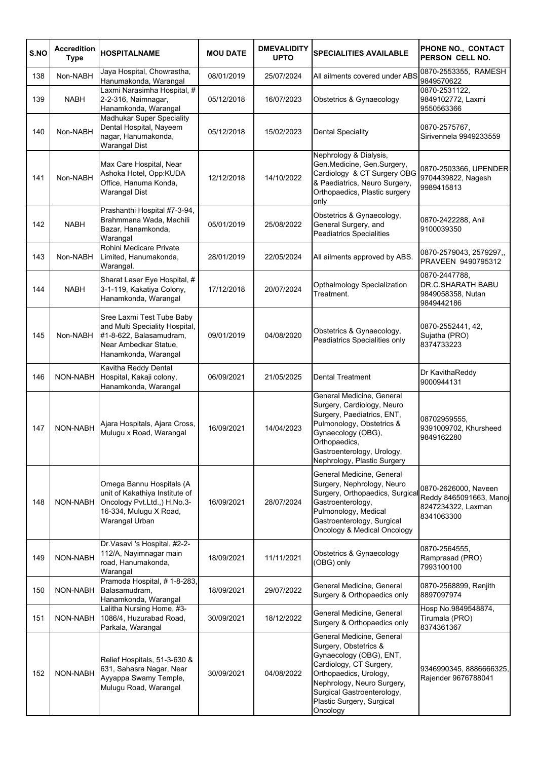| S.NO | <b>Accredition</b><br><b>Type</b> | <b>HOSPITALNAME</b>                                                                                                                     | <b>MOU DATE</b> | <b>DMEVALIDITY</b><br><b>UPTO</b> | <b>SPECIALITIES AVAILABLE</b>                                                                                                                                                                                                           | PHONE NO., CONTACT<br>PERSON CELL NO.                                               |
|------|-----------------------------------|-----------------------------------------------------------------------------------------------------------------------------------------|-----------------|-----------------------------------|-----------------------------------------------------------------------------------------------------------------------------------------------------------------------------------------------------------------------------------------|-------------------------------------------------------------------------------------|
| 138  | Non-NABH                          | Jaya Hospital, Chowrastha,<br>Hanumakonda, Warangal                                                                                     | 08/01/2019      | 25/07/2024                        | All ailments covered under ABS                                                                                                                                                                                                          | 0870-2553355, RAMESH<br>9849570622                                                  |
| 139  | <b>NABH</b>                       | Laxmi Narasimha Hospital, #<br>2-2-316, Naimnagar,<br>Hanamkonda, Warangal                                                              | 05/12/2018      | 16/07/2023                        | Obstetrics & Gynaecology                                                                                                                                                                                                                | 0870-2531122,<br>9849102772, Laxmi<br>9550563366                                    |
| 140  | Non-NABH                          | <b>Madhukar Super Speciality</b><br>Dental Hospital, Nayeem<br>nagar, Hanumakonda,<br><b>Warangal Dist</b>                              | 05/12/2018      | 15/02/2023                        | <b>Dental Speciality</b>                                                                                                                                                                                                                | 0870-2575767,<br>Sirivennela 9949233559                                             |
| 141  | Non-NABH                          | Max Care Hospital, Near<br>Ashoka Hotel, Opp:KUDA<br>Office, Hanuma Konda,<br><b>Warangal Dist</b>                                      | 12/12/2018      | 14/10/2022                        | Nephrology & Dialysis,<br>Gen.Medicine, Gen.Surgery,<br>Cardiology & CT Surgery OBG<br>& Paediatrics, Neuro Surgery,<br>Orthopaedics, Plastic surgery<br>only                                                                           | 0870-2503366, UPENDER<br>9704439822, Nagesh<br>9989415813                           |
| 142  | <b>NABH</b>                       | Prashanthi Hospital #7-3-94,<br>Brahmmana Wada, Machili<br>Bazar, Hanamkonda,<br>Warangal                                               | 05/01/2019      | 25/08/2022                        | Obstetrics & Gynaecology,<br>General Surgery, and<br><b>Peadiatrics Specialities</b>                                                                                                                                                    | 0870-2422288, Anil<br>9100039350                                                    |
| 143  | Non-NABH                          | Rohini Medicare Private<br>Limited, Hanumakonda,<br>Warangal.                                                                           | 28/01/2019      | 22/05/2024                        | All ailments approved by ABS.                                                                                                                                                                                                           | 0870-2579043, 2579297,,<br>PRAVEEN 9490795312                                       |
| 144  | <b>NABH</b>                       | Sharat Laser Eye Hospital, #<br>3-1-119, Kakatiya Colony,<br>Hanamkonda, Warangal                                                       | 17/12/2018      | 20/07/2024                        | Opthalmology Specialization<br>Treatment.                                                                                                                                                                                               | 0870-2447788,<br><b>DR.C.SHARATH BABU</b><br>9849058358, Nutan<br>9849442186        |
| 145  | Non-NABH                          | Sree Laxmi Test Tube Baby<br>and Multi Speciality Hospital,<br>#1-8-622, Balasamudram,<br>Near Ambedkar Statue,<br>Hanamkonda, Warangal | 09/01/2019      | 04/08/2020                        | Obstetrics & Gynaecology,<br>Peadiatrics Specialities only                                                                                                                                                                              | 0870-2552441, 42,<br>Sujatha (PRO)<br>8374733223                                    |
| 146  | NON-NABH                          | Kavitha Reddy Dental<br>Hospital, Kakaji colony,<br>Hanamkonda, Warangal                                                                | 06/09/2021      | 21/05/2025                        | <b>Dental Treatment</b>                                                                                                                                                                                                                 | Dr KavithaReddy<br>9000944131                                                       |
| 147  | NON-NABH                          | Ajara Hospitals, Ajara Cross,<br>Mulugu x Road, Warangal                                                                                | 16/09/2021      | 14/04/2023                        | General Medicine, General<br>Surgery, Cardiology, Neuro<br>Surgery, Paediatrics, ENT,<br>Pulmonology, Obstetrics &<br>Gynaecology (OBG),<br>Orthopaedics.<br>Gastroenterology, Urology,<br>Nephrology, Plastic Surgery                  | 08702959555.<br>9391009702, Khursheed<br>9849162280                                 |
| 148  | NON-NABH                          | Omega Bannu Hospitals (A<br>unit of Kakathiya Institute of<br>Oncology Pvt.Ltd., ) H.No.3-<br>16-334, Mulugu X Road,<br>Warangal Urban  | 16/09/2021      | 28/07/2024                        | General Medicine, General<br>Surgery, Nephrology, Neuro<br>Surgery, Orthopaedics, Surgical<br>Gastroenterology,<br>Pulmonology, Medical<br>Gastroenterology, Surgical<br>Oncology & Medical Oncology                                    | 0870-2626000, Naveen<br>Reddy 8465091663, Manoj<br>8247234322, Laxman<br>8341063300 |
| 149  | NON-NABH                          | Dr. Vasavi 's Hospital, #2-2-<br>112/A, Nayimnagar main<br>road, Hanumakonda,<br>Warangal                                               | 18/09/2021      | 11/11/2021                        | Obstetrics & Gynaecology<br>(OBG) only                                                                                                                                                                                                  | 0870-2564555,<br>Ramprasad (PRO)<br>7993100100                                      |
| 150  | NON-NABH                          | Pramoda Hospital, #1-8-283,<br>Balasamudram,<br>Hanamkonda, Warangal                                                                    | 18/09/2021      | 29/07/2022                        | General Medicine, General<br>Surgery & Orthopaedics only                                                                                                                                                                                | 0870-2568899, Ranjith<br>8897097974                                                 |
| 151  | NON-NABH                          | Lalitha Nursing Home, #3-<br>1086/4, Huzurabad Road,<br>Parkala, Warangal                                                               | 30/09/2021      | 18/12/2022                        | General Medicine, General<br>Surgery & Orthopaedics only                                                                                                                                                                                | Hosp No.9849548874,<br>Tirumala (PRO)<br>8374361367                                 |
| 152  | NON-NABH                          | Relief Hospitals, 51-3-630 &<br>631, Sahasra Nagar, Near<br>Ayyappa Swamy Temple,<br>Mulugu Road, Warangal                              | 30/09/2021      | 04/08/2022                        | General Medicine, General<br>Surgery, Obstetrics &<br>Gynaecology (OBG), ENT,<br>Cardiology, CT Surgery,<br>Orthopaedics, Urology,<br>Nephrology, Neuro Surgery,<br>Surgical Gastroenterology,<br>Plastic Surgery, Surgical<br>Oncology | 9346990345, 8886666325,<br>Rajender 9676788041                                      |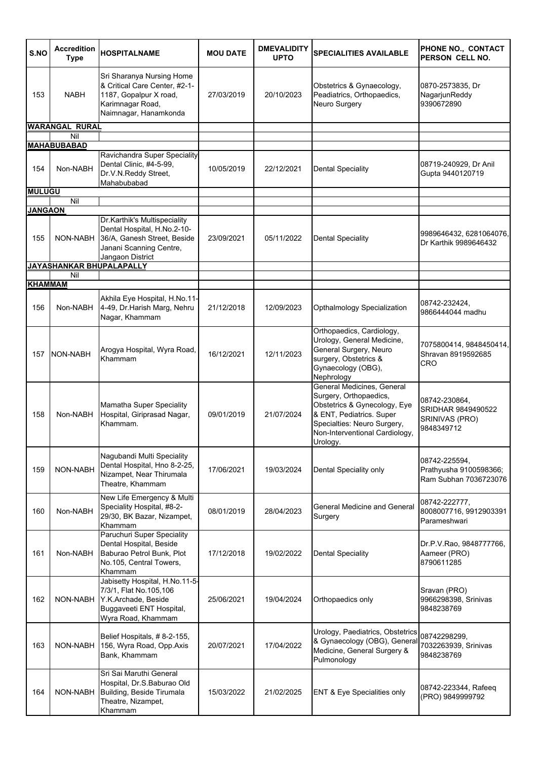| S.NO           | <b>Accredition</b><br><b>Type</b> | <b>HOSPITALNAME</b>                                                                                                                       | <b>MOU DATE</b> | <b>DMEVALIDITY</b><br><b>UPTO</b> | <b>SPECIALITIES AVAILABLE</b>                                                                                                                                                                 | PHONE NO., CONTACT<br>PERSON CELL NO.                               |
|----------------|-----------------------------------|-------------------------------------------------------------------------------------------------------------------------------------------|-----------------|-----------------------------------|-----------------------------------------------------------------------------------------------------------------------------------------------------------------------------------------------|---------------------------------------------------------------------|
| 153            | <b>NABH</b>                       | Sri Sharanya Nursing Home<br>& Critical Care Center, #2-1-<br>1187, Gopalpur X road,<br>Karimnagar Road,<br>Naimnagar, Hanamkonda         | 27/03/2019      | 20/10/2023                        | Obstetrics & Gynaecology,<br>Peadiatrics, Orthopaedics,<br>Neuro Surgery                                                                                                                      | 0870-2573835, Dr<br>NagarjunReddy<br>9390672890                     |
|                | <b>WARANGAL RURAL</b>             |                                                                                                                                           |                 |                                   |                                                                                                                                                                                               |                                                                     |
|                | Nil<br><b>MAHABUBABAD</b>         |                                                                                                                                           |                 |                                   |                                                                                                                                                                                               |                                                                     |
| 154            | Non-NABH                          | Ravichandra Super Speciality<br>Dental Clinic, #4-5-99,<br>Dr.V.N.Reddy Street,<br>Mahabubabad                                            | 10/05/2019      | 22/12/2021                        | Dental Speciality                                                                                                                                                                             | 08719-240929, Dr Anil<br>Gupta 9440120719                           |
| <b>MULUGU</b>  | Nil                               |                                                                                                                                           |                 |                                   |                                                                                                                                                                                               |                                                                     |
| <b>JANGAON</b> |                                   |                                                                                                                                           |                 |                                   |                                                                                                                                                                                               |                                                                     |
| 155            | NON-NABH                          | Dr.Karthik's Multispeciality<br>Dental Hospital, H.No.2-10-<br>36/A, Ganesh Street, Beside<br>Janani Scanning Centre,<br>Jangaon District | 23/09/2021      | 05/11/2022                        | <b>Dental Speciality</b>                                                                                                                                                                      | 9989646432, 6281064076,<br>Dr Karthik 9989646432                    |
|                | JAYASHANKAR BHUPALAPALLY          |                                                                                                                                           |                 |                                   |                                                                                                                                                                                               |                                                                     |
| <b>KHAMMAM</b> | Nil                               |                                                                                                                                           |                 |                                   |                                                                                                                                                                                               |                                                                     |
| 156            | Non-NABH                          | Akhila Eye Hospital, H.No.11-<br>4-49, Dr. Harish Marg, Nehru<br>Nagar, Khammam                                                           | 21/12/2018      | 12/09/2023                        | Opthalmology Specialization                                                                                                                                                                   | 08742-232424,<br>9866444044 madhu                                   |
| 157            | NON-NABH                          | Arogya Hospital, Wyra Road,<br>Khammam                                                                                                    | 16/12/2021      | 12/11/2023                        | Orthopaedics, Cardiology,<br>Urology, General Medicine,<br>General Surgery, Neuro<br>surgery, Obstetrics &<br>Gynaecology (OBG),<br>Nephrology                                                | 7075800414, 9848450414,<br>Shravan 8919592685<br>CRO                |
| 158            | Non-NABH                          | Mamatha Super Speciality<br>Hospital, Giriprasad Nagar,<br>Khammam.                                                                       | 09/01/2019      | 21/07/2024                        | General Medicines, General<br>Surgery, Orthopaedics,<br>Obstetrics & Gynecology, Eye<br>& ENT, Pediatrics. Super<br>Specialties: Neuro Surgery,<br>Non-Interventional Cardiology,<br>Urology. | 08742-230864,<br>SRIDHAR 9849490522<br>SRINIVAS (PRO)<br>9848349712 |
| 159            | NON-NABH                          | Nagubandi Multi Speciality<br>Dental Hospital, Hno 8-2-25,<br>Nizampet, Near Thirumala<br>Theatre, Khammam                                | 17/06/2021      | 19/03/2024                        | Dental Speciality only                                                                                                                                                                        | 08742-225594,<br>Prathyusha 9100598366;<br>Ram Subhan 7036723076    |
| 160            | Non-NABH                          | New Life Emergency & Multi<br>Speciality Hospital, #8-2-<br>29/30, BK Bazar, Nizampet,<br>Khammam                                         | 08/01/2019      | 28/04/2023                        | General Medicine and General<br>Surgery                                                                                                                                                       | 08742-222777,<br>8008007716, 9912903391<br>Parameshwari             |
| 161            | Non-NABH                          | Paruchuri Super Speciality<br>Dental Hospital, Beside<br>Baburao Petrol Bunk, Plot<br>No.105, Central Towers,<br>Khammam                  | 17/12/2018      | 19/02/2022                        | <b>Dental Speciality</b>                                                                                                                                                                      | Dr.P.V.Rao, 9848777766,<br>Aameer (PRO)<br>8790611285               |
| 162            | NON-NABH                          | Jabisetty Hospital, H.No.11-5-<br>7/3/1, Flat No.105,106<br>Y.K.Archade, Beside<br>Buggaveeti ENT Hospital,<br>Wyra Road, Khammam         | 25/06/2021      | 19/04/2024                        | Orthopaedics only                                                                                                                                                                             | Sravan (PRO)<br>9966298398, Srinivas<br>9848238769                  |
| 163            | NON-NABH                          | Belief Hospitals, #8-2-155,<br>156, Wyra Road, Opp.Axis<br>Bank, Khammam                                                                  | 20/07/2021      | 17/04/2022                        | Urology, Paediatrics, Obstetrics<br>& Gynaecology (OBG), General<br>Medicine, General Surgery &<br>Pulmonology                                                                                | 08742298299,<br>7032263939, Srinivas<br>9848238769                  |
| 164            | NON-NABH                          | Sri Sai Maruthi General<br>Hospital, Dr.S.Baburao Old<br>Building, Beside Tirumala<br>Theatre, Nizampet,<br>Khammam                       | 15/03/2022      | 21/02/2025                        | <b>ENT &amp; Eye Specialities only</b>                                                                                                                                                        | 08742-223344, Rafeeq<br>(PRO) 9849999792                            |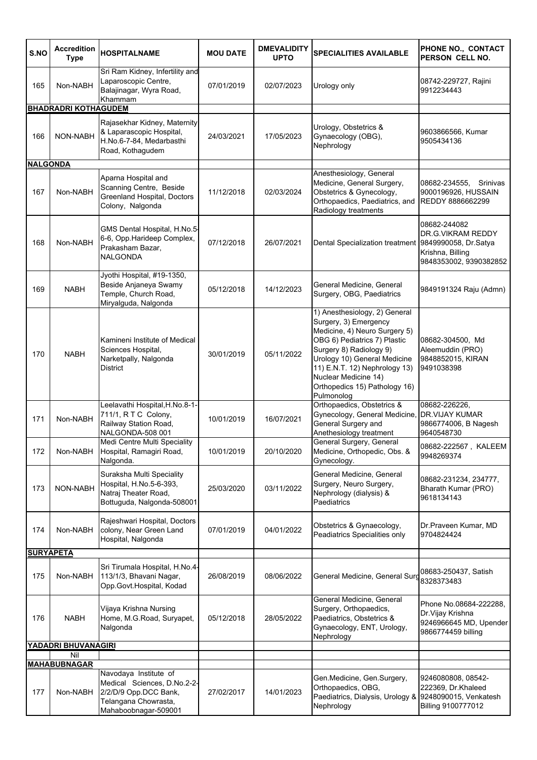| S.NO            | <b>Accredition</b><br><b>Type</b> | <b>HOSPITALNAME</b>                                                                                                           | <b>MOU DATE</b> | <b>DMEVALIDITY</b><br><b>UPTO</b> | <b>SPECIALITIES AVAILABLE</b>                                                                                                                                                                                                                                                              | PHONE NO., CONTACT<br>PERSON CELL NO.                                                                   |
|-----------------|-----------------------------------|-------------------------------------------------------------------------------------------------------------------------------|-----------------|-----------------------------------|--------------------------------------------------------------------------------------------------------------------------------------------------------------------------------------------------------------------------------------------------------------------------------------------|---------------------------------------------------------------------------------------------------------|
| 165             | Non-NABH                          | Sri Ram Kidney, Infertility and<br>Laparoscopic Centre,<br>Balajinagar, Wyra Road,<br>Khammam                                 | 07/01/2019      | 02/07/2023                        | Urology only                                                                                                                                                                                                                                                                               | 08742-229727, Rajini<br>9912234443                                                                      |
|                 | <b>BHADRADRI KOTHAGUDEM</b>       |                                                                                                                               |                 |                                   |                                                                                                                                                                                                                                                                                            |                                                                                                         |
| 166             | NON-NABH                          | Rajasekhar Kidney, Maternity<br>& Laparascopic Hospital,<br>H.No.6-7-84, Medarbasthi<br>Road, Kothagudem                      | 24/03/2021      | 17/05/2023                        | Urology, Obstetrics &<br>Gynaecology (OBG),<br>Nephrology                                                                                                                                                                                                                                  | 9603866566, Kumar<br>9505434136                                                                         |
| <b>NALGONDA</b> |                                   |                                                                                                                               |                 |                                   |                                                                                                                                                                                                                                                                                            |                                                                                                         |
| 167             | Non-NABH                          | Aparna Hospital and<br>Scanning Centre, Beside<br>Greenland Hospital, Doctors<br>Colony, Nalgonda                             | 11/12/2018      | 02/03/2024                        | Anesthesiology, General<br>Medicine, General Surgery,<br>Obstetrics & Gynecology,<br>Orthopaedics, Paediatrics, and<br>Radiology treatments                                                                                                                                                | 08682-234555,<br>Srinivas<br>9000196926, HUSSAIN<br>REDDY 8886662299                                    |
| 168             | Non-NABH                          | GMS Dental Hospital, H.No.5-<br>6-6, Opp.Harideep Complex,<br>Prakasham Bazar,<br><b>NALGONDA</b>                             | 07/12/2018      | 26/07/2021                        | Dental Specialization treatment                                                                                                                                                                                                                                                            | 08682-244082<br>DR.G.VIKRAM REDDY<br>9849990058, Dr.Satya<br>Krishna, Billing<br>9848353002, 9390382852 |
| 169             | <b>NABH</b>                       | Jyothi Hospital, #19-1350,<br>Beside Anjaneya Swamy<br>Temple, Church Road,<br>Miryalguda, Nalgonda                           | 05/12/2018      | 14/12/2023                        | General Medicine, General<br>Surgery, OBG, Paediatrics                                                                                                                                                                                                                                     | 9849191324 Raju (Admn)                                                                                  |
| 170             | <b>NABH</b>                       | Kamineni Institute of Medical<br>Sciences Hospital,<br>Narketpally, Nalgonda<br><b>District</b>                               | 30/01/2019      | 05/11/2022                        | 1) Anesthesiology, 2) General<br>Surgery, 3) Emergency<br>Medicine, 4) Neuro Surgery 5)<br>OBG 6) Pediatrics 7) Plastic<br>Surgery 8) Radiology 9)<br>Urology 10) General Medicine<br>11) E.N.T. 12) Nephrology 13)<br>Nuclear Medicine 14)<br>Orthopedics 15) Pathology 16)<br>Pulmonolog | 08682-304500, Md<br>Aleemuddin (PRO)<br>9848852015, KIRAN<br>9491038398                                 |
| 171             | Non-NABH                          | Leelavathi Hospital, H.No.8-1-<br>711/1, R T C Colony,<br>Railway Station Road,<br>NALGONDA-508 001                           | 10/01/2019      | 16/07/2021                        | Orthopaedics, Obstetrics &<br>Gynecology, General Medicine,<br>General Surgery and<br>Anethesiology treatment                                                                                                                                                                              | 08682-226226,<br><b>DR.VIJAY KUMAR</b><br>9866774006, B Nagesh<br>9640548730                            |
| 172             | Non-NABH                          | <b>Medi Centre Multi Speciality</b><br>Hospital, Ramagiri Road,<br>Nalgonda.                                                  | 10/01/2019      | 20/10/2020                        | General Surgery, General<br>Medicine, Orthopedic, Obs. &<br>Gynecology.                                                                                                                                                                                                                    | 08682-222567, KALEEM<br>9948269374                                                                      |
| 173             | NON-NABH                          | Suraksha Multi Speciality<br>Hospital, H.No.5-6-393,<br>Natraj Theater Road,<br>Bottuguda, Nalgonda-508001                    | 25/03/2020      | 03/11/2022                        | General Medicine, General<br>Surgery, Neuro Surgery,<br>Nephrology (dialysis) &<br>Paediatrics                                                                                                                                                                                             | 08682-231234, 234777,<br>Bharath Kumar (PRO)<br>9618134143                                              |
| 174             | Non-NABH                          | Rajeshwari Hospital, Doctors<br>colony, Near Green Land<br>Hospital, Nalgonda                                                 | 07/01/2019      | 04/01/2022                        | Obstetrics & Gynaecology,<br>Peadiatrics Specialities only                                                                                                                                                                                                                                 | Dr.Praveen Kumar, MD<br>9704824424                                                                      |
|                 | <b>SURYAPETA</b>                  |                                                                                                                               |                 |                                   |                                                                                                                                                                                                                                                                                            |                                                                                                         |
| 175             | Non-NABH                          | Sri Tirumala Hospital, H.No.4-<br>113/1/3, Bhavani Nagar,<br>Opp.Govt.Hospital, Kodad                                         | 26/08/2019      | 08/06/2022                        | General Medicine, General Surg                                                                                                                                                                                                                                                             | 08683-250437, Satish<br>8328373483                                                                      |
| 176             | <b>NABH</b>                       | Vijaya Krishna Nursing<br>Home, M.G.Road, Suryapet,<br>Nalgonda                                                               | 05/12/2018      | 28/05/2022                        | General Medicine, General<br>Surgery, Orthopaedics,<br>Paediatrics, Obstetrics &<br>Gynaecology, ENT, Urology,<br>Nephrology                                                                                                                                                               | Phone No.08684-222288,<br>Dr. Vijay Krishna<br>9246966645 MD, Upender<br>9866774459 billing             |
|                 | <b>YADADRI BHUVANAGIRI</b><br>Nil |                                                                                                                               |                 |                                   |                                                                                                                                                                                                                                                                                            |                                                                                                         |
|                 | <b>MAHABUBNAGAR</b>               |                                                                                                                               |                 |                                   |                                                                                                                                                                                                                                                                                            |                                                                                                         |
| 177             | Non-NABH                          | Navodaya Institute of<br>Medical Sciences, D.No.2-2-<br>2/2/D/9 Opp.DCC Bank,<br>Telangana Chowrasta,<br>Mahaboobnagar-509001 | 27/02/2017      | 14/01/2023                        | Gen.Medicine, Gen.Surgery,<br>Orthopaedics, OBG,<br>Paediatrics, Dialysis, Urology &<br>Nephrology                                                                                                                                                                                         | 9246080808, 08542-<br>222369, Dr.Khaleed<br>9248090015, Venkatesh<br>Billing 9100777012                 |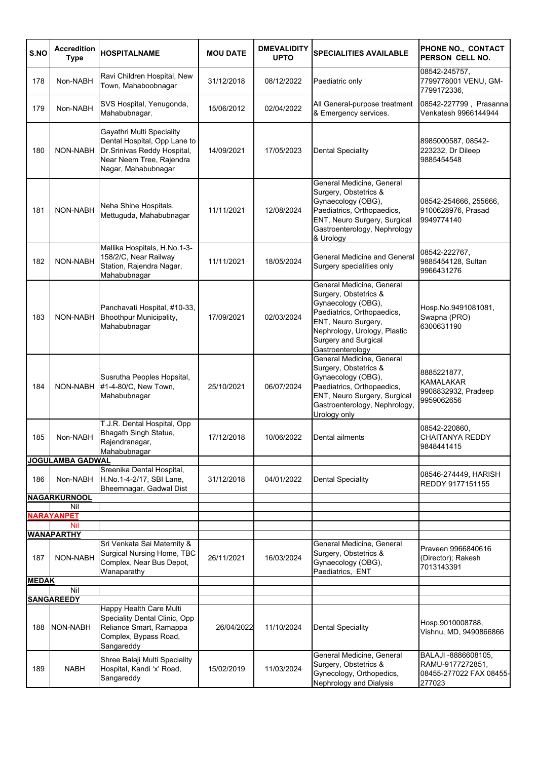| S.NO                     | <b>Accredition</b><br><b>Type</b> | <b>HOSPITALNAME</b>                                                                                                                          | <b>MOU DATE</b> | <b>DMEVALIDITY</b><br><b>UPTO</b> | <b>SPECIALITIES AVAILABLE</b>                                                                                                                                                                             | PHONE NO., CONTACT<br>PERSON CELL NO.                                        |
|--------------------------|-----------------------------------|----------------------------------------------------------------------------------------------------------------------------------------------|-----------------|-----------------------------------|-----------------------------------------------------------------------------------------------------------------------------------------------------------------------------------------------------------|------------------------------------------------------------------------------|
| 178                      | Non-NABH                          | Ravi Children Hospital, New<br>Town, Mahaboobnagar                                                                                           | 31/12/2018      | 08/12/2022                        | Paediatric only                                                                                                                                                                                           | 08542-245757,<br>7799778001 VENU, GM-<br>7799172336,                         |
| 179                      | Non-NABH                          | SVS Hospital, Yenugonda,<br>Mahabubnagar.                                                                                                    | 15/06/2012      | 02/04/2022                        | All General-purpose treatment<br>& Emergency services.                                                                                                                                                    | 08542-227799, Prasanna<br>Venkatesh 9966144944                               |
| 180                      | NON-NABH                          | Gayathri Multi Speciality<br>Dental Hospital, Opp Lane to<br>Dr. Srinivas Reddy Hospital,<br>Near Neem Tree, Rajendra<br>Nagar, Mahabubnagar | 14/09/2021      | 17/05/2023                        | <b>Dental Speciality</b>                                                                                                                                                                                  | 8985000587, 08542-<br>223232, Dr Dileep<br>9885454548                        |
| 181                      | NON-NABH                          | Neha Shine Hospitals,<br>Mettuguda, Mahabubnagar                                                                                             | 11/11/2021      | 12/08/2024                        | General Medicine, General<br>Surgery, Obstetrics &<br>Gynaecology (OBG),<br>Paediatrics, Orthopaedics,<br>ENT, Neuro Surgery, Surgical<br>Gastroenterology, Nephrology<br>& Urology                       | 08542-254666, 255666,<br>9100628976, Prasad<br>9949774140                    |
| 182                      | NON-NABH                          | Mallika Hospitals, H.No.1-3-<br>158/2/C, Near Railway<br>Station, Rajendra Nagar,<br>Mahabubnagar                                            | 11/11/2021      | 18/05/2024                        | <b>General Medicine and General</b><br>Surgery specialities only                                                                                                                                          | 08542-222767,<br>9885454128, Sultan<br>9966431276                            |
| 183                      | NON-NABH                          | Panchavati Hospital, #10-33,<br>Bhoothpur Municipality,<br>Mahabubnagar                                                                      | 17/09/2021      | 02/03/2024                        | General Medicine, General<br>Surgery, Obstetrics &<br>Gynaecology (OBG),<br>Paediatrics, Orthopaedics,<br>ENT, Neuro Surgery,<br>Nephrology, Urology, Plastic<br>Surgery and Surgical<br>Gastroenterology | Hosp.No.9491081081,<br>Swapna (PRO)<br>6300631190                            |
| 184                      | NON-NABH                          | Susrutha Peoples Hopsital,<br>#1-4-80/C, New Town,<br>Mahabubnagar                                                                           | 25/10/2021      | 06/07/2024                        | General Medicine, General<br>Surgery, Obstetrics &<br>Gynaecology (OBG),<br>Paediatrics, Orthopaedics,<br>ENT, Neuro Surgery, Surgical<br>Gastroenterology, Nephrology,<br>Urology only                   | 8885221877,<br><b>KAMALAKAR</b><br>9908832932, Pradeep<br>9959062656         |
| 185                      | Non-NABH                          | T.J.R. Dental Hospital, Opp<br>Bhagath Singh Statue,<br>Rajendranagar,<br>Mahabubnagar                                                       | 17/12/2018      | 10/06/2022                        | Dental ailments                                                                                                                                                                                           | 08542-220860,<br><b>CHAITANYA REDDY</b><br>9848441415                        |
|                          | <b>JOGULAMBA GADWAL</b>           |                                                                                                                                              |                 |                                   |                                                                                                                                                                                                           |                                                                              |
| 186                      | Non-NABH                          | Sreenika Dental Hospital,<br>H.No.1-4-2/17, SBI Lane,<br>Bheemnagar, Gadwal Dist                                                             | 31/12/2018      | 04/01/2022                        | <b>Dental Speciality</b>                                                                                                                                                                                  | 08546-274449, HARISH<br><b>REDDY 9177151155</b>                              |
|                          | <b>NAGARKURNOOL</b>               |                                                                                                                                              |                 |                                   |                                                                                                                                                                                                           |                                                                              |
|                          | Nil<br><b>NARAYANPET</b>          |                                                                                                                                              |                 |                                   |                                                                                                                                                                                                           |                                                                              |
|                          | <b>Nil</b>                        |                                                                                                                                              |                 |                                   |                                                                                                                                                                                                           |                                                                              |
|                          | <b>WANAPARTHY</b>                 |                                                                                                                                              |                 |                                   |                                                                                                                                                                                                           |                                                                              |
| 187                      | NON-NABH                          | Sri Venkata Sai Maternity &<br>Surgical Nursing Home, TBC<br>Complex, Near Bus Depot,<br>Wanaparathy                                         | 26/11/2021      | 16/03/2024                        | General Medicine, General<br>Surgery, Obstetrics &<br>Gynaecology (OBG),<br>Paediatrics, ENT                                                                                                              | Praveen 9966840616<br>(Director); Rakesh<br>7013143391                       |
| <b>MEDAK</b>             |                                   |                                                                                                                                              |                 |                                   |                                                                                                                                                                                                           |                                                                              |
| Nil<br><b>SANGAREEDY</b> |                                   |                                                                                                                                              |                 |                                   |                                                                                                                                                                                                           |                                                                              |
| 188                      | <b>NON-NABH</b>                   | Happy Health Care Multi<br>Speciality Dental Clinic, Opp<br>Reliance Smart, Ramappa<br>Complex, Bypass Road,<br>Sangareddy                   | 26/04/2022      | 11/10/2024                        | <b>Dental Speciality</b>                                                                                                                                                                                  | Hosp.9010008788,<br>Vishnu, MD, 9490866866                                   |
| 189                      | <b>NABH</b>                       | Shree Balaji Multi Speciality<br>Hospital, Kandi 'x' Road,<br>Sangareddy                                                                     | 15/02/2019      | 11/03/2024                        | General Medicine, General<br>Surgery, Obstetrics &<br>Gynecology, Orthopedics,<br>Nephrology and Dialysis                                                                                                 | BALAJI -8886608105,<br>RAMU-9177272851,<br>08455-277022 FAX 08455-<br>277023 |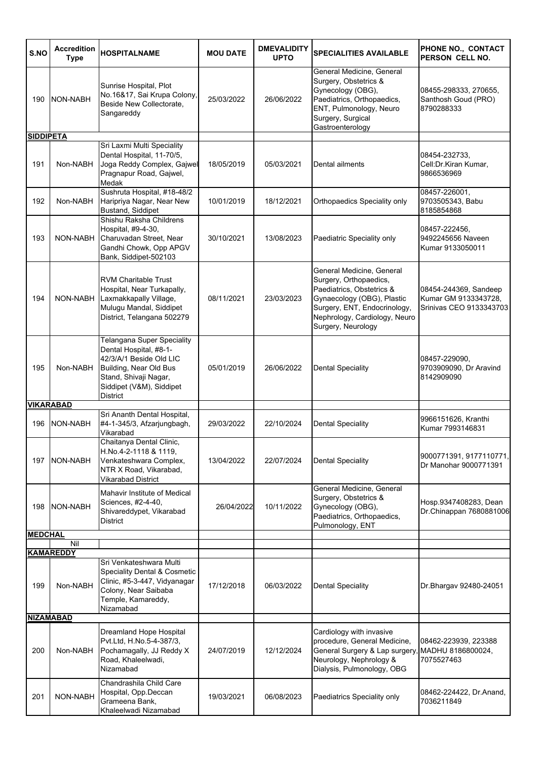| S.NO             | <b>Accredition</b><br><b>Type</b> | <b>HOSPITALNAME</b>                                                                                                                                                               | <b>MOU DATE</b> | <b>DMEVALIDITY</b><br><b>UPTO</b> | <b>SPECIALITIES AVAILABLE</b>                                                                                                                                                                         | PHONE NO., CONTACT<br>PERSON CELL NO.                                    |
|------------------|-----------------------------------|-----------------------------------------------------------------------------------------------------------------------------------------------------------------------------------|-----------------|-----------------------------------|-------------------------------------------------------------------------------------------------------------------------------------------------------------------------------------------------------|--------------------------------------------------------------------------|
| 190              | NON-NABH                          | Sunrise Hospital, Plot<br>No.16&17, Sai Krupa Colony,<br>Beside New Collectorate,<br>Sangareddy                                                                                   | 25/03/2022      | 26/06/2022                        | General Medicine, General<br>Surgery, Obstetrics &<br>Gynecology (OBG),<br>Paediatrics, Orthopaedics,<br>ENT, Pulmonology, Neuro<br>Surgery, Surgical<br>Gastroenterology                             | 08455-298333, 270655,<br>Santhosh Goud (PRO)<br>8790288333               |
| <b>SIDDIPETA</b> |                                   |                                                                                                                                                                                   |                 |                                   |                                                                                                                                                                                                       |                                                                          |
| 191              | Non-NABH                          | Sri Laxmi Multi Speciality<br>Dental Hospital, 11-70/5,<br>Joga Reddy Complex, Gajwel<br>Pragnapur Road, Gajwel,<br>Medak                                                         | 18/05/2019      | 05/03/2021                        | Dental ailments                                                                                                                                                                                       | 08454-232733,<br>Cell:Dr.Kiran Kumar,<br>9866536969                      |
| 192              | Non-NABH                          | Sushruta Hospital, #18-48/2<br>Haripriya Nagar, Near New<br>Bustand, Siddipet                                                                                                     | 10/01/2019      | 18/12/2021                        | Orthopaedics Speciality only                                                                                                                                                                          | 08457-226001,<br>9703505343, Babu<br>8185854868                          |
| 193              | NON-NABH                          | Shishu Raksha Childrens<br>Hospital, #9-4-30,<br>Charuvadan Street, Near<br>Gandhi Chowk, Opp APGV<br>Bank, Siddipet-502103                                                       | 30/10/2021      | 13/08/2023                        | Paediatric Speciality only                                                                                                                                                                            | 08457-222456.<br>9492245656 Naveen<br>Kumar 9133050011                   |
| 194              | NON-NABH                          | <b>RVM Charitable Trust</b><br>Hospital, Near Turkapally,<br>Laxmakkapally Village,<br>Mulugu Mandal, Siddipet<br>District, Telangana 502279                                      | 08/11/2021      | 23/03/2023                        | General Medicine, General<br>Surgery, Orthopaedics,<br>Paediatrics, Obstetrics &<br>Gynaecology (OBG), Plastic<br>Surgery, ENT, Endocrinology,<br>Nephrology, Cardiology, Neuro<br>Surgery, Neurology | 08454-244369, Sandeep<br>Kumar GM 9133343728,<br>Srinivas CEO 9133343703 |
| 195              | Non-NABH                          | <b>Telangana Super Speciality</b><br>Dental Hospital, #8-1-<br>42/3/A/1 Beside Old LIC<br>Building, Near Old Bus<br>Stand, Shivaji Nagar,<br>Siddipet (V&M), Siddipet<br>District | 05/01/2019      | 26/06/2022                        | <b>Dental Speciality</b>                                                                                                                                                                              | 08457-229090.<br>9703909090, Dr Aravind<br>8142909090                    |
|                  | <b>VIKARABAD</b>                  |                                                                                                                                                                                   |                 |                                   |                                                                                                                                                                                                       |                                                                          |
| 196              | <b>NON-NABH</b>                   | Sri Ananth Dental Hospital,<br>#4-1-345/3, Afzarjungbagh,<br>Vikarabad                                                                                                            | 29/03/2022      | 22/10/2024                        | <b>Dental Speciality</b>                                                                                                                                                                              | 9966151626, Kranthi<br>Kumar 7993146831                                  |
| 197              | NON-NABH                          | Chaitanya Dental Clinic,<br>H.No.4-2-1118 & 1119,<br>Venkateshwara Complex,<br>NTR X Road, Vikarabad,<br><b>Vikarabad District</b>                                                | 13/04/2022      | 22/07/2024                        | <b>Dental Speciality</b>                                                                                                                                                                              | 9000771391, 9177110771,<br>Dr Manohar 9000771391                         |
| 198              | NON-NABH                          | Mahavir Institute of Medical<br>Sciences, #2-4-40,<br>Shivareddypet, Vikarabad<br>District                                                                                        | 26/04/2022      | 10/11/2022                        | General Medicine, General<br>Surgery, Obstetrics &<br>Gynecology (OBG),<br>Paediatrics, Orthopaedics,<br>Pulmonology, ENT                                                                             | Hosp.9347408283, Dean<br>Dr.Chinappan 7680881006                         |
| <b>MEDCHAL</b>   |                                   |                                                                                                                                                                                   |                 |                                   |                                                                                                                                                                                                       |                                                                          |
|                  | Nil<br><b>KAMAREDDY</b>           |                                                                                                                                                                                   |                 |                                   |                                                                                                                                                                                                       |                                                                          |
| 199              | Non-NABH                          | Sri Venkateshwara Multi<br>Speciality Dental & Cosmetic<br>Clinic, #5-3-447, Vidyanagar<br>Colony, Near Saibaba<br>Temple, Kamareddy,<br>Nizamabad                                | 17/12/2018      | 06/03/2022                        | <b>Dental Speciality</b>                                                                                                                                                                              | Dr.Bhargav 92480-24051                                                   |
|                  | <b>NIZAMABAD</b>                  |                                                                                                                                                                                   |                 |                                   |                                                                                                                                                                                                       |                                                                          |
| 200              | Non-NABH                          | Dreamland Hope Hospital<br>Pvt.Ltd, H.No.5-4-387/3,<br>Pochamagally, JJ Reddy X<br>Road, Khaleelwadi,<br>Nizamabad                                                                | 24/07/2019      | 12/12/2024                        | Cardiology with invasive<br>procedure, General Medicine,<br>General Surgery & Lap surgery<br>Neurology, Nephrology &<br>Dialysis, Pulmonology, OBG                                                    | 08462-223939, 223388<br>, MADHU 8186800024,<br>7075527463                |
| 201              | NON-NABH                          | Chandrashila Child Care<br>Hospital, Opp.Deccan<br>Grameena Bank,<br>Khaleelwadi Nizamabad                                                                                        | 19/03/2021      | 06/08/2023                        | Paediatrics Speciality only                                                                                                                                                                           | 08462-224422, Dr.Anand,<br>7036211849                                    |